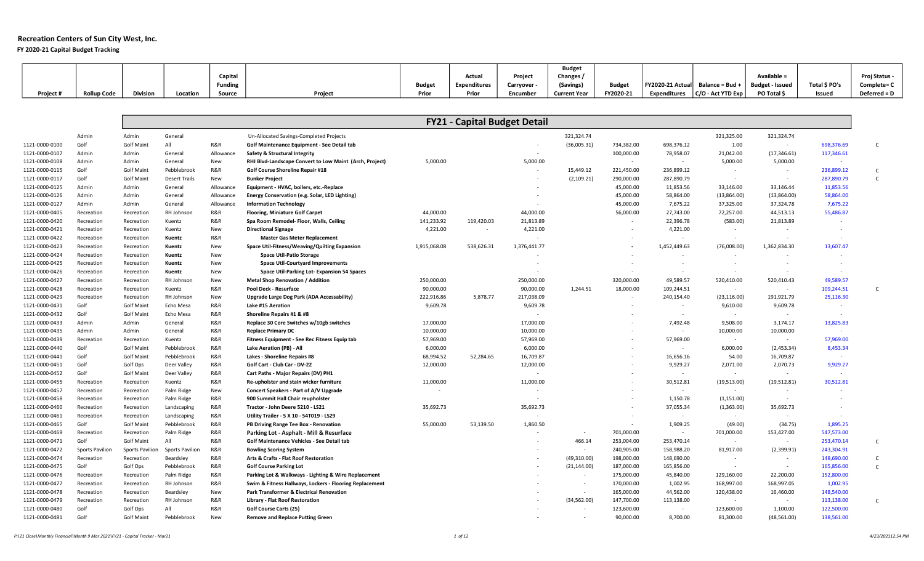FY 2020-21 Capital Budget Tracking

|           |                    |                 |          |         |         |               |              |                  | <b>Budget</b>       |               |                                          |                                       |                        |               |               |
|-----------|--------------------|-----------------|----------|---------|---------|---------------|--------------|------------------|---------------------|---------------|------------------------------------------|---------------------------------------|------------------------|---------------|---------------|
|           |                    |                 |          | Capital |         |               | Actual       | Project          | Changes /           |               |                                          |                                       | Available =            |               | Proj Status - |
|           |                    |                 |          | Funding |         | <b>Budget</b> | Expenditures | <b>Carryover</b> | (Savings)           | <b>Budget</b> | $ $ FY2020-21 Actual Balance = Bud + $ $ |                                       | <b>Budget - Issued</b> | Total \$ PO's | Complete= C   |
| Project # | <b>Rollup Code</b> | <b>Division</b> | Location | Source  | Project | Prior         | Prior        | Encumber         | <b>Current Year</b> | FY2020-21     |                                          | Expenditures $ C/O$ - Act YTD Exp $ $ | PO Total \$            | Issued        | Deferred = D  |

|                |                 |                   |                      |            |                                                         |              | <b>FY21 - Capital Budget Detail</b> |              |              |                          |                    |              |                          |            |
|----------------|-----------------|-------------------|----------------------|------------|---------------------------------------------------------|--------------|-------------------------------------|--------------|--------------|--------------------------|--------------------|--------------|--------------------------|------------|
|                | Admin           | Admin             | General              |            | Un-Allocated Savings-Completed Projects                 |              |                                     |              | 321,324.74   |                          |                    | 321,325.00   | 321,324.74               |            |
| 1121-0000-0100 | Golf            | <b>Golf Maint</b> | All                  | R&R        | Golf Maintenance Equipment - See Detail tab             |              |                                     |              | (36,005.31)  | 734,382.00               | 698,376.12         | 1.00         | $\sim$                   | 698,376.69 |
| 1121-0000-0107 | Admin           | Admin             | General              | Allowance  | Safety & Structural Integrity                           |              |                                     |              |              | 100,000.00               | 78,958.07          | 21,042.00    | (17, 346.61)             | 117,346.61 |
| 1121-0000-0108 | Admin           | Admin             | General              | <b>New</b> | RHJ Blvd-Landscape Convert to Low Maint (Arch, Project) | 5,000.00     |                                     | 5,000.00     |              | $\sim$                   | $\sim$ $-$         | 5,000.00     | 5,000.00                 | $\sim$     |
| 1121-0000-0115 | Golf            | <b>Golf Maint</b> | Pebblebrook          | R&R        | Golf Course Shoreline Repair #18                        |              |                                     |              | 15,449.12    | 221,450.00               | 236,899.12         | $\sim$       | $\overline{\phantom{a}}$ | 236,899.12 |
| 1121-0000-0117 | Golf            | <b>Golf Maint</b> | <b>Desert Trails</b> | New        | <b>Bunker Project</b>                                   |              |                                     |              | (2, 109.21)  | 290,000.00               | 287,890.79         |              | $\sim$                   | 287,890.79 |
| 1121-0000-0125 | Admin           | Admin             | General              | Allowance  | Equipment - HVAC, boilers, etc.-Replace                 |              |                                     |              |              | 45,000.00                | 11,853.56          | 33,146.00    | 33,146.44                | 11,853.56  |
| 1121-0000-0126 | Admin           | Admin             | General              | Allowance  | Energy Conservation (e.g. Solar, LED Lighting)          |              |                                     |              |              | 45,000.00                | 58,864.00          | (13,864.00)  | (13,864.00)              | 58,864.00  |
| 1121-0000-0127 | Admin           | Admin             | General              | Allowance  | <b>Information Technology</b>                           |              |                                     |              |              | 45,000.00                | 7,675.22           | 37,325.00    | 37,324.78                | 7,675.22   |
| 1121-0000-0405 | Recreation      | Recreation        | RH Johnson           | R&R        | <b>Flooring, Miniature Golf Carpet</b>                  | 44,000.00    |                                     | 44,000.00    |              | 56,000.00                | 27,743.00          | 72,257.00    | 44,513.13                | 55,486.87  |
| 1121-0000-0420 | Recreation      | Recreation        | Kuentz               | R&R        | Spa Room Remodel- Floor, Walls, Ceiling                 | 141,233.92   | 119,420.03                          | 21,813.89    |              | $\sim$                   | 22,396.78          | (583.00)     | 21,813.89                |            |
| 1121-0000-0421 | Recreation      | Recreation        | Kuentz               | New        | <b>Directional Signage</b>                              | 4,221.00     | $\sim$                              | 4,221.00     |              | $\sim$                   | 4,221.00           | $\sim$       | $\sim$                   |            |
| 1121-0000-0422 | Recreation      | Recreation        | Kuentz               | R&R        | <b>Master Gas Meter Replacement</b>                     |              |                                     |              |              |                          | $\sim$             | $\sim$       | $\sim$                   |            |
| 1121-0000-0423 | Recreation      | Recreation        | Kuentz               | New        | Space Util-Fitness/Weaving/Quilting Expansion           | 1,915,068.08 | 538,626.31                          | 1,376,441.77 |              | $\sim$                   | 1,452,449.63       | (76,008.00)  | 1,362,834.30             | 13,607.47  |
| 1121-0000-0424 | Recreation      | Recreation        | Kuentz               | New        | <b>Space Util-Patio Storage</b>                         |              |                                     |              |              |                          | $\overline{a}$     |              | $\overline{\phantom{a}}$ |            |
| 1121-0000-0425 | Recreation      | Recreation        | Kuentz               | New        | <b>Space Util-Courtyard Improvements</b>                |              |                                     |              |              | $\sim$                   | $\sim$             | $\sim$       | $\sim$                   | $\sim$     |
| 1121-0000-0426 | Recreation      | Recreation        | Kuentz               | New        | Space Util-Parking Lot-Expansion 54 Spaces              |              |                                     |              |              |                          |                    |              |                          |            |
| 1121-0000-0427 | Recreation      | Recreation        | RH Johnson           | New        | <b>Metal Shop Renovation / Addition</b>                 | 250,000.00   |                                     | 250,000.00   |              | 320,000.00               | 49,589.57          | 520,410.00   | 520,410.43               | 49,589.57  |
| 1121-0000-0428 | Recreation      | Recreation        | Kuentz               | R&R        | <b>Pool Deck - Resurface</b>                            | 90,000.00    |                                     | 90,000.00    | 1.244.51     | 18,000.00                | 109,244.51         | $\sim$       | $\sim$                   | 109,244.51 |
| 1121-0000-0429 | Recreation      | Recreation        | RH Johnson           | New        | Upgrade Large Dog Park (ADA Accessability)              | 222,916.86   | 5.878.77                            | 217,038.09   |              |                          | 240,154.40         | (23, 116.00) | 191.921.79               | 25,116.30  |
| 1121-0000-0431 | Golf            | <b>Golf Maint</b> | Echo Mesa            | R&R        | <b>Lake #15 Aeration</b>                                | 9,609.78     |                                     | 9,609.78     |              |                          |                    | 9,610.00     | 9,609.78                 |            |
| 1121-0000-0432 | Golf            | <b>Golf Maint</b> | Echo Mesa            | R&R        | Shoreline Repairs #1 & #8                               |              |                                     |              |              |                          | $\sim$             | $\sim$       | $\sim$                   | $\sim$     |
|                | Admin           |                   |                      | R&R        |                                                         |              |                                     |              |              |                          |                    |              |                          | 13,825.83  |
| 1121-0000-0433 | Admin           | Admin<br>Admin    | General              | R&R        | Replace 30 Core Switches w/10gb switches                | 17,000.00    |                                     | 17,000.00    |              |                          | 7,492.48<br>$\sim$ | 9,508.00     | 3,174.17                 |            |
| 1121-0000-0435 |                 |                   | General              |            | <b>Replace Primary DC</b>                               | 10,000.00    |                                     | 10,000.00    |              |                          |                    | 10,000.00    | 10,000.00                |            |
| 1121-0000-0439 | Recreation      | Recreation        | Kuentz               | R&R        | Fitness Equipment - See Rec Fitness Equip tab           | 57,969.00    |                                     | 57,969.00    |              | $\sim$                   | 57,969.00          | $\sim$       | $\sim$                   | 57,969.00  |
| 1121-0000-0440 | Golf            | <b>Golf Maint</b> | Pebblebrook          | R&R        | <b>Lake Aeration (PB) - All</b>                         | 6,000.00     |                                     | 6,000.00     |              |                          | $\sim$             | 6,000.00     | (2,453.34)               | 8,453.34   |
| 1121-0000-0441 | Golf            | <b>Golf Maint</b> | Pebblebrook          | R&R        | Lakes - Shoreline Repairs #8                            | 68,994.52    | 52,284.65                           | 16,709.87    |              |                          | 16,656.16          | 54.00        | 16,709.87                | $\sim$     |
| 1121-0000-0451 | Golf            | Golf Ops          | Deer Valley          | R&R        | Golf Cart - Club Car - DV-22                            | 12,000.00    |                                     | 12,000.00    |              |                          | 9,929.27           | 2,071.00     | 2,070.73                 | 9,929.27   |
| 1121-0000-0452 | Golf            | <b>Golf Maint</b> | Deer Valley          | R&R        | Cart Paths - Major Repairs (DV) PH1                     |              |                                     |              |              | $\sim$                   | $\sim$             | $\sim$       | $\sim$                   |            |
| 1121-0000-0455 | Recreation      | Recreation        | Kuentz               | R&R        | Re-upholster and stain wicker furniture                 | 11,000.00    |                                     | 11,000.00    |              |                          | 30,512.81          | (19,513.00)  | (19,512.81)              | 30,512.81  |
| 1121-0000-0457 | Recreation      | Recreation        | Palm Ridge           | New        | Concert Speakers - Part of A/V Upgrade                  |              |                                     |              |              | $\sim$                   | $\sim$             | $\sim$       | $\sim$                   |            |
| 1121-0000-0458 | Recreation      | Recreation        | Palm Ridge           | R&R        | 900 Summit Hall Chair reupholster                       |              |                                     |              |              |                          | 1,150.78           | (1, 151.00)  |                          |            |
| 1121-0000-0460 | Recreation      | Recreation        | Landscaping          | R&R        | Tractor - John Deere 5210 - LS21                        | 35,692.73    |                                     | 35,692.73    |              | $\overline{\phantom{a}}$ | 37,055.34          | (1,363.00)   | 35,692.73                |            |
| 1121-0000-0461 | Recreation      | Recreation        | Landscaping          | R&R        | Utility Trailer - 5 X 10 - 54T019 - LS29                |              |                                     |              |              |                          | $\sim$             |              |                          |            |
| 1121-0000-0465 | Golf            | <b>Golf Maint</b> | Pebblebrook          | R&R        | PB Driving Range Tee Box - Renovation                   | 55,000.00    | 53,139.50                           | 1,860.50     |              | $\sim$                   | 1,909.25           | (49.00)      | (34.75)                  | 1,895.25   |
| 1121-0000-0469 | Recreation      | Recreation        | Palm Ridge           | R&R        | Parking Lot - Asphalt - Mill & Resurface                |              |                                     |              |              | 701,000.00               | $\sim$             | 701,000.00   | 153,427.00               | 547,573.00 |
| 1121-0000-0471 | Golf            | <b>Golf Maint</b> | All                  | R&R        | Golf Maintenance Vehicles - See Detail tab              |              |                                     |              | 466.14       | 253,004.00               | 253,470.14         | $\sim$       | $\sim$                   | 253,470.14 |
| 1121-0000-0472 | Sports Pavilion | Sports Pavilion   | Sports Pavilion      | R&R        | <b>Bowling Scoring System</b>                           |              |                                     |              | $\sim$       | 240,905.00               | 158,988.20         | 81,917.00    | (2,399.91)               | 243,304.91 |
| 1121-0000-0474 | Recreation      | Recreation        | Beardsley            | R&R        | Arts & Crafts - Flat Roof Restoration                   |              |                                     |              | (49, 310.00) | 198,000.00               | 148,690.00         | $\sim$       | $\sim$                   | 148,690.00 |
| 1121-0000-0475 | Golf            | Golf Ops          | Pebblebrook          | R&R        | <b>Golf Course Parking Lot</b>                          |              |                                     |              | (21, 144.00) | 187,000.00               | 165,856.00         | $\sim$       | $\sim$                   | 165,856.00 |
| 1121-0000-0476 | Recreation      | Recreation        | Palm Ridge           | R&R        | Parking Lot & Walkways - Lighting & Wire Replacement    |              |                                     |              |              | 175,000.00               | 45,840.00          | 129,160.00   | 22,200.00                | 152,800.00 |
| 1121-0000-0477 | Recreation      | Recreation        | RH Johnson           | R&R        | Swim & Fitness Hallways, Lockers - Flooring Replacement |              |                                     |              | $\sim$       | 170,000.00               | 1,002.95           | 168,997.00   | 168,997.05               | 1,002.95   |
| 1121-0000-0478 | Recreation      | Recreation        | Beardsley            | New        | <b>Park Transformer &amp; Electrical Renovation</b>     |              |                                     |              |              | 165,000.00               | 44,562.00          | 120,438.00   | 16,460.00                | 148,540.00 |
| 1121-0000-0479 | Recreation      | Recreation        | RH Johnson           | R&R        | Library - Flat Roof Restoration                         |              |                                     |              | (34, 562.00) | 147,700.00               | 113,138.00         | $\sim$       | $\sim$                   | 113,138.00 |
| 1121-0000-0480 | Golf            | Golf Ops          | All                  | R&R        | <b>Golf Course Carts (25)</b>                           |              |                                     |              |              | 123,600.00               | $\sim$             | 123,600.00   | 1,100.00                 | 122,500.00 |
| 1121-0000-0481 | Golf            | <b>Golf Maint</b> | Pebblebrook          | <b>New</b> | <b>Remove and Replace Putting Green</b>                 |              |                                     |              |              | 90,000.00                | 8,700.00           | 81,300.00    | (48, 561.00)             | 138,561.00 |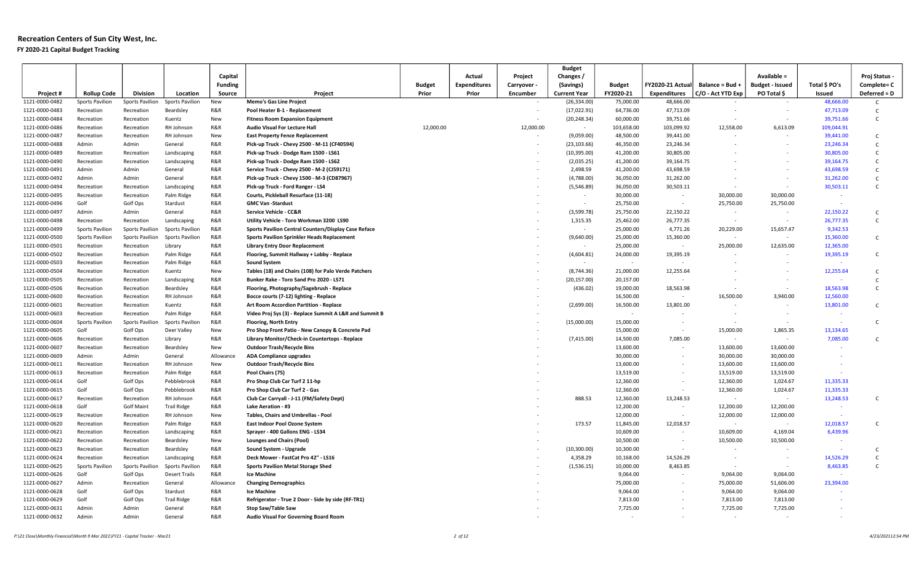### Recreation Centers of Sun City West, Inc. FY 2020-21 Capital Budget Tracking

|                                  |                                       |                        |                          |                |                                                                                  |                        |                              |                          | <b>Budget</b>                       |                            |                                         |                                      |                                       |                       |                              |
|----------------------------------|---------------------------------------|------------------------|--------------------------|----------------|----------------------------------------------------------------------------------|------------------------|------------------------------|--------------------------|-------------------------------------|----------------------------|-----------------------------------------|--------------------------------------|---------------------------------------|-----------------------|------------------------------|
|                                  |                                       |                        |                          | Capital        |                                                                                  |                        | Actual                       | Project                  | Changes /                           |                            |                                         |                                      | Available =                           |                       | Proj Status                  |
|                                  |                                       | <b>Division</b>        | Location                 | <b>Funding</b> |                                                                                  | <b>Budget</b><br>Prior | <b>Expenditures</b><br>Prior | Carryover                | (Savings)                           | <b>Budget</b><br>FY2020-21 | FY2020-21 Actual<br><b>Expenditures</b> | Balance = Bud +<br>C/O - Act YTD Exp | <b>Budget - Issued</b><br>PO Total \$ | Total \$ PO's         | Complete= C                  |
| Project#<br>1121-0000-0482       | <b>Rollup Code</b><br>Sports Pavilion | Sports Pavilion        | Sports Pavilion          | Source<br>New  | Project<br><b>Memo's Gas Line Project</b>                                        |                        |                              | Encumber                 | <b>Current Year</b><br>(26, 334.00) | 75,000.00                  | 48,666.00                               |                                      |                                       | Issued<br>48,666.00   | Deferred = D<br>$\mathsf{C}$ |
| 1121-0000-0483                   | Recreation                            | Recreation             | Beardsley                | R&R            | Pool Heater B-1 - Replacement                                                    |                        |                              | $\sim$                   | (17,022.91)                         | 64,736.00                  | 47,713.09                               |                                      | $\sim$                                | 47,713.09             | $\mathsf{C}$                 |
| 1121-0000-0484                   | Recreation                            | Recreation             | Kuentz                   | New            | <b>Fitness Room Expansion Equipment</b>                                          |                        |                              | $\overline{\phantom{a}}$ | (20, 248.34)                        | 60,000.00                  | 39,751.66                               |                                      |                                       | 39,751.66             | C                            |
| 1121-0000-0486                   | Recreation                            | Recreation             | RH Johnson               | R&R            | <b>Audio Visual For Lecture Hall</b>                                             | 12,000.00              |                              | 12,000.00                | $\sim$                              | 103,658.00                 | 103,099.92                              | 12,558.00                            | 6,613.09                              | 109,044.91            |                              |
| 1121-0000-0487                   | Recreation                            | Recreation             | RH Johnson               | New            | <b>East Property Fence Replacement</b>                                           |                        |                              |                          | (9,059.00)                          | 48,500.00                  | 39,441.00                               |                                      | $\sim$                                | 39,441.00             | C                            |
| 1121-0000-0488                   | Admin                                 | Admin                  | General                  | R&R            | Pick-up Truck - Chevy 2500 - M-11 (CF40594)                                      |                        |                              |                          | (23, 103.66)                        | 46,350.00                  | 23,246.34                               |                                      |                                       | 23,246.34             | $\mathsf{C}$                 |
| 1121-0000-0489                   | Recreation                            | Recreation             | Landscaping              | R&R            | Pick-up Truck - Dodge Ram 1500 - LS61                                            |                        |                              |                          | (10, 395.00)                        | 41,200.00                  | 30,805.00                               |                                      |                                       | 30,805.00             | C                            |
| 1121-0000-0490                   | Recreation                            | Recreation             | Landscaping              | R&R            | Pick-up Truck - Dodge Ram 1500 - LS62                                            |                        |                              |                          | (2,035.25)                          | 41,200.00                  | 39,164.75                               |                                      |                                       | 39,164.75             | $\mathsf{C}$                 |
| 1121-0000-0491                   | Admin                                 | Admin                  | General                  | R&R            | Service Truck - Chevy 2500 - M-2 (CJ59171)                                       |                        |                              |                          | 2,498.59                            | 41,200.00                  | 43,698.59                               |                                      | $\overline{\phantom{a}}$              | 43,698.59             | $\mathsf{C}$                 |
| 1121-0000-0492                   | Admin                                 | Admin                  | General                  | R&R            | Pick-up Truck - Chevy 1500 - M-3 (CD87967)                                       |                        |                              |                          | (4,788.00)                          | 36,050.00                  | 31,262.00                               |                                      |                                       | 31,262.00             | C                            |
| 1121-0000-0494                   | Recreation                            | Recreation             | Landscaping              | R&R            | Pick-up Truck - Ford Ranger - LS4                                                |                        |                              |                          | (5,546.89)                          | 36,050.00                  | 30,503.11                               |                                      | $\sim$                                | 30,503.11             | $\mathsf{C}$                 |
| 1121-0000-0495                   | Recreation                            | Recreation             | Palm Ridge               | R&R            | Courts, Pickleball Resurface (11-18)                                             |                        |                              |                          | $\sim$                              | 30,000.00                  | $\sim$                                  | 30,000.00                            | 30,000.00                             | - 40                  |                              |
| 1121-0000-0496                   | Golf                                  | Golf Ops               | Stardust                 | R&R            | <b>GMC Van -Stardust</b>                                                         |                        |                              |                          | $\sim$                              | 25,750.00                  | $\sim$                                  | 25,750.00                            | 25,750.00                             | $\sim$                |                              |
| 1121-0000-0497                   | Admin                                 | Admin                  | General                  | R&R            | Service Vehicle - CC&R                                                           |                        |                              |                          | (3,599.78)                          | 25,750.00                  | 22,150.22                               | $\sim$                               | $\sim$                                | 22,150.22             | $\mathsf{C}$                 |
| 1121-0000-0498                   | Recreation                            | Recreation             | Landscaping              | R&R            | Utility Vehicle - Toro Workman 3200 LS90                                         |                        |                              |                          | 1,315.35                            | 25,462.00                  | 26,777.35                               | $\sim$                               | $\sim$                                | 26,777.35             | $\mathsf{C}$                 |
| 1121-0000-0499                   | Sports Pavilion                       | Sports Pavilion        | Sports Pavilion          | R&R            | Sports Pavilion Central Counters/Display Case Reface                             |                        |                              |                          | $\sim$                              | 25,000.00                  | 4,771.26                                | 20,229.00                            | 15,657.47                             | 9,342.53              |                              |
| 1121-0000-0500                   | Sports Pavilion                       | Sports Pavilion        | Sports Pavilion          | R&R            | <b>Sports Pavilion Sprinkler Heads Replacement</b>                               |                        |                              |                          | (9,640.00)                          | 25,000.00                  | 15,360.00                               | $\sim$                               | $\sim$                                | 15,360.00             | $\mathsf{C}$                 |
| 1121-0000-0501                   | Recreation                            | Recreation             | Library                  | R&R            | <b>Library Entry Door Replacement</b>                                            |                        |                              |                          | $\sim$                              | 25,000.00                  | $\sim$                                  | 25,000.00                            | 12,635.00                             | 12,365.00             |                              |
| 1121-0000-0502                   | Recreation                            | Recreation             | Palm Ridge               | R&R            | Flooring, Summit Hallway + Lobby - Replace                                       |                        |                              |                          | (4,604.81)                          | 24,000.00                  | 19,395.19                               |                                      |                                       | 19,395.19             | $\mathsf{C}$                 |
| 1121-0000-0503                   | Recreation                            | Recreation             | Palm Ridge               | R&R            | <b>Sound System</b>                                                              |                        |                              |                          | $\sim$                              | $\sim$                     |                                         |                                      | $\sim$                                |                       |                              |
| 1121-0000-0504                   | Recreation                            | Recreation             | Kuentz                   | New            | Tables (18) and Chairs (108) for Palo Verde Patchers                             |                        |                              |                          | (8,744.36)                          | 21,000.00                  | 12,255.64                               |                                      |                                       | 12,255.64             | $\mathsf{C}$                 |
| 1121-0000-0505                   | Recreation                            | Recreation             | Landscaping              | R&R            | Bunker Rake - Toro Sand Pro 2020 - LS71                                          |                        |                              |                          | (20, 157.00)                        | 20,157.00                  |                                         |                                      | $\sim$                                |                       | $\mathsf{C}$                 |
| 1121-0000-0506                   | Recreation                            | Recreation             | Beardsley                | R&R            | Flooring, Photography/Sagebrush - Replace                                        |                        |                              |                          | (436.02)                            | 19,000.00                  | 18,563.98                               |                                      |                                       | 18,563.98             | $\mathsf{C}$                 |
| 1121-0000-0600                   | Recreation                            | Recreation             | RH Johnson               | R&R            | Bocce courts (7-12) lighting - Replace                                           |                        |                              |                          |                                     | 16,500.00                  |                                         | 16,500.00                            | 3,940.00                              | 12,560.00             |                              |
| 1121-0000-0601                   | Recreation                            | Recreation             | Kuentz                   | R&R            | Art Room Accordion Partition - Replace                                           |                        |                              |                          | (2,699.00)                          | 16,500.00                  | 13,801.00                               |                                      |                                       | 13,801.00             | $\mathsf{C}$                 |
| 1121-0000-0603                   | Recreation                            | Recreation             | Palm Ridge               | R&R            | Video Proj Sys (3) - Replace Summit A L&R and Summit B                           |                        |                              |                          |                                     | $\sim$                     |                                         |                                      | $\sim$                                |                       |                              |
| 1121-0000-0604                   | Sports Pavilion                       | Sports Pavilion        | Sports Pavilion          | R&R            | <b>Flooring, North Entry</b>                                                     |                        |                              |                          | (15,000.00)                         | 15,000.00                  |                                         |                                      | $\sim$                                | - 4                   | C                            |
| 1121-0000-0605                   | Golf                                  | Golf Ops               | Deer Valley              | New            | Pro Shop Front Patio - New Canopy & Concrete Pad                                 |                        |                              |                          |                                     | 15,000.00                  | $\sim$                                  | 15,000.00                            | 1,865.35                              | 13,134.65             |                              |
| 1121-0000-0606                   | Recreation                            | Recreation             | Library                  | R&R            | Library Monitor/Check-in Countertops - Replace                                   |                        |                              |                          | (7,415.00)                          | 14,500.00                  | 7,085.00                                | $\sim$                               | $\sim$                                | 7,085.00              | $\mathsf{C}$                 |
| 1121-0000-0607                   | Recreation                            | Recreation             | Beardsley                | New            | <b>Outdoor Trash/Recycle Bins</b>                                                |                        |                              |                          |                                     | 13,600.00                  | $\sim$                                  | 13,600.00                            | 13,600.00                             |                       |                              |
| 1121-0000-0609                   | Admin                                 | Admin                  | General                  | Allowance      | <b>ADA Compliance upgrades</b>                                                   |                        |                              |                          |                                     | 30,000.00                  |                                         | 30,000.00                            | 30,000.00                             |                       |                              |
| 1121-0000-0611                   | Recreation                            | Recreation             | RH Johnson               | <b>New</b>     | <b>Outdoor Trash/Recycle Bins</b>                                                |                        |                              |                          |                                     | 13,600.00                  |                                         | 13,600.00                            | 13,600.00                             |                       |                              |
| 1121-0000-0613                   | Recreation                            | Recreation             | Palm Ridge               | R&R            | Pool Chairs (75)                                                                 |                        |                              |                          |                                     | 13,519.00                  | $\sim$                                  | 13,519.00                            | 13,519.00                             |                       |                              |
| 1121-0000-0614                   | Golf                                  | Golf Ops               | Pebblebrook              | R&R            | Pro Shop Club Car Turf 2 11-hp                                                   |                        |                              |                          |                                     | 12,360.00                  |                                         | 12,360.00                            | 1,024.67                              | 11,335.33             |                              |
| 1121-0000-0615                   | Golf                                  | Golf Ops               | Pebblebrook              | R&R            | Pro Shop Club Car Turf 2 - Gas                                                   |                        |                              |                          |                                     | 12,360.00                  | $\sim$                                  | 12,360.00                            | 1,024.67                              | 11,335.33             |                              |
| 1121-0000-0617                   | Recreation                            | Recreation             | RH Johnson               | R&R            | Club Car Carryall - J-11 (FM/Safety Dept)                                        |                        |                              |                          | 888.53                              | 12,360.00                  | 13,248.53                               | $\sim$                               | $\sim$                                | 13,248.53             | $\mathsf{C}$                 |
| 1121-0000-0618                   | Golf                                  | <b>Golf Maint</b>      | <b>Trail Ridge</b>       | R&R            | Lake Aeration - #3                                                               |                        |                              |                          |                                     | 12,200.00                  |                                         | 12,200.00                            | 12,200.00                             |                       |                              |
| 1121-0000-0619                   | Recreation                            | Recreation             | RH Johnson               | New            | Tables, Chairs and Umbrellas - Pool                                              |                        |                              |                          |                                     | 12,000.00                  | $\sim$                                  | 12,000.00                            | 12,000.00                             | <b>College</b>        |                              |
| 1121-0000-0620                   | Recreation                            | Recreation             | Palm Ridge               | R&R            | <b>East Indoor Pool Ozone System</b>                                             |                        |                              |                          | 173.57                              | 11,845.00                  | 12,018.57                               | $\sim$                               | $\sim$                                | 12,018.57             | $\mathsf{C}$                 |
| 1121-0000-0621                   | Recreation                            | Recreation             | Landscaping              | R&R            | Sprayer - 400 Gallons ENG - LS34                                                 |                        |                              |                          |                                     | 10,609.00                  |                                         | 10,609.00                            | 4,169.04                              | 6,439.96              |                              |
| 1121-0000-0622                   | Recreation                            | Recreation             | Beardsley                | New            | <b>Lounges and Chairs (Pool)</b>                                                 |                        |                              |                          |                                     | 10,500.00                  | $\sim$                                  | 10,500.00                            | 10,500.00                             |                       |                              |
| 1121-0000-0623                   | Recreation                            | Recreation             | Beardsley                | R&R            | Sound System - Upgrade                                                           |                        |                              |                          | (10,300.00)                         | 10,300.00                  |                                         |                                      |                                       |                       | $\mathsf{C}$                 |
| 1121-0000-0624                   | Recreation                            | Recreation             | Landscaping              | R&R<br>R&R     | Deck Mower - FastCat Pro 42" - LS16<br><b>Sports Pavilion Metal Storage Shed</b> |                        |                              |                          | 4,358.29                            | 10,168.00<br>10,000.00     | 14,526.29<br>8,463.85                   | $\sim$                               | $\sim$<br>$\sim$                      | 14,526.29<br>8,463.85 | C<br>$\mathsf{C}$            |
| 1121-0000-0625                   | Sports Pavilion                       | Sports Pavilion        | Sports Pavilion          | R&R            |                                                                                  |                        |                              |                          | (1,536.15)                          |                            |                                         |                                      |                                       |                       |                              |
| 1121-0000-0626<br>1121-0000-0627 | Golf<br>Admin                         | Golf Ops<br>Recreation | Desert Trails<br>General | Allowance      | Ice Machine<br><b>Changing Demographics</b>                                      |                        |                              |                          |                                     | 9,064.00<br>75,000.00      |                                         | 9,064.00<br>75,000.00                | 9,064.00<br>51,606.00                 | 23,394.00             |                              |
| 1121-0000-0628                   | Golf                                  | Golf Ops               | Stardust                 | R&R            | Ice Machine                                                                      |                        |                              |                          |                                     | 9,064.00                   |                                         | 9,064.00                             | 9,064.00                              |                       |                              |
| 1121-0000-0629                   | Golf                                  | Golf Ops               | <b>Trail Ridge</b>       | R&R            | Refrigerator - True 2 Door - Side by side (RF-TR1)                               |                        |                              |                          |                                     | 7,813.00                   |                                         | 7,813.00                             | 7,813.00                              |                       |                              |
| 1121-0000-0631                   | Admin                                 | Admin                  | General                  | R&R            | Stop Saw/Table Saw                                                               |                        |                              |                          |                                     | 7,725.00                   |                                         | 7,725.00                             | 7,725.00                              |                       |                              |
| 1121-0000-0632                   | Admin                                 | Admin                  | General                  | R&R            | Audio Visual For Governing Board Room                                            |                        |                              |                          |                                     |                            |                                         | $\sim$                               | $\sim$                                |                       |                              |
|                                  |                                       |                        |                          |                |                                                                                  |                        |                              |                          |                                     |                            |                                         |                                      |                                       |                       |                              |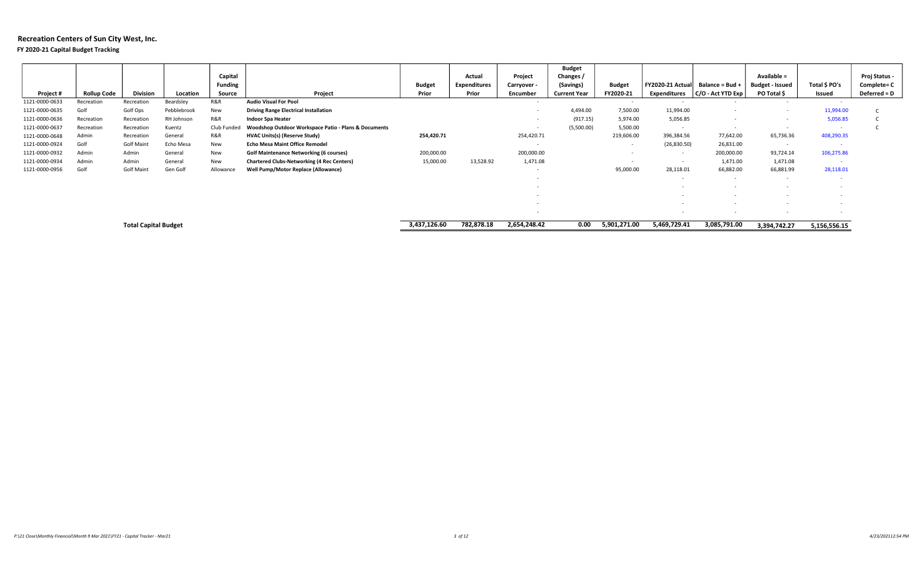### FY 2020-21 Capital Budget Tracking

|                |                    |                             |             | Capital<br><b>Funding</b> |                                                      | <b>Budget</b> | Actual<br><b>Expenditures</b> | Project<br>Carryover - | <b>Budget</b><br>Changes /<br>(Savings) | <b>Budget</b> | <b>FY2020-21 Actual</b> | Balance = Bud +       | Available =<br><b>Budget - Issued</b> | Total \$ PO's | Proj Status -<br>Complete= C |
|----------------|--------------------|-----------------------------|-------------|---------------------------|------------------------------------------------------|---------------|-------------------------------|------------------------|-----------------------------------------|---------------|-------------------------|-----------------------|---------------------------------------|---------------|------------------------------|
| Project #      | <b>Rollup Code</b> | <b>Division</b>             | Location    | Source                    | Project                                              | Prior         | Prior                         | Encumber               | <b>Current Year</b>                     | FY2020-21     | <b>Expenditures</b>     | $ C/O - Act YTD Exp $ | PO Total \$                           | Issued        | Deferred = D                 |
| 1121-0000-0633 | Recreation         | Recreation                  | Beardsley   | R&R                       | <b>Audio Visual For Pool</b>                         |               |                               | $\sim$                 |                                         |               | $\sim$                  |                       | $\sim$                                | $\sim$        |                              |
| 1121-0000-0635 | Golf               | Golf Ops                    | Pebblebrook | New                       | <b>Driving Range Electrical Installation</b>         |               |                               |                        | 4,494.00                                | 7,500.00      | 11,994.00               |                       |                                       | 11,994.00     |                              |
| 1121-0000-0636 | Recreation         | Recreation                  | RH Johnson  | R&R                       | <b>Indoor Spa Heater</b>                             |               |                               |                        | (917.15)                                | 5,974.00      | 5,056.85                |                       |                                       | 5,056.85      |                              |
| 1121-0000-0637 | Recreation         | Recreation                  | Kuentz      | Club Funded               | Woodshop Outdoor Workspace Patio - Plans & Documents |               |                               |                        | (5,500.00)                              | 5,500.00      |                         |                       | $\overline{\phantom{a}}$              |               |                              |
| 1121-0000-0648 | Admin              | Recreation                  | General     | R&R                       | HVAC Units(s) (Reserve Study)                        | 254,420.71    |                               | 254,420.71             |                                         | 219,606.00    | 396,384.56              | 77,642.00             | 65,736.36                             | 408,290.35    |                              |
| 1121-0000-0924 | Golf               | <b>Golf Maint</b>           | Echo Mesa   | New                       | <b>Echo Mesa Maint Office Remodel</b>                |               |                               | $\sim$                 |                                         |               | (26,830.50)             | 26,831.00             | $\sim$                                |               |                              |
| 1121-0000-0932 | Admin              | Admin                       | General     | New                       | <b>Golf Maintenance Networking (6 courses)</b>       | 200,000.00    |                               | 200,000.00             |                                         |               | $\sim$                  | 200,000.00            | 93,724.14                             | 106,275.86    |                              |
| 1121-0000-0934 | Admin              | Admin                       | General     | New                       | <b>Chartered Clubs-Networking (4 Rec Centers)</b>    | 15,000.00     | 13,528.92                     | 1,471.08               |                                         |               |                         | 1,471.00              | 1,471.08                              | - 40          |                              |
| 1121-0000-0956 | Golf               | <b>Golf Maint</b>           | Gen Golf    | Allowance                 | Well Pump/Motor Replace (Allowance)                  |               |                               |                        |                                         | 95,000.00     | 28,118.01               | 66,882.00             | 66,881.99                             | 28,118.01     |                              |
|                |                    |                             |             |                           |                                                      |               |                               | $\sim$                 |                                         |               |                         |                       | $\sim$                                |               |                              |
|                |                    |                             |             |                           |                                                      |               |                               |                        |                                         |               |                         |                       |                                       |               |                              |
|                |                    |                             |             |                           |                                                      |               |                               |                        |                                         |               |                         |                       |                                       |               |                              |
|                |                    |                             |             |                           |                                                      |               |                               |                        |                                         |               |                         |                       |                                       |               |                              |
|                |                    |                             |             |                           |                                                      |               |                               |                        |                                         |               |                         |                       | $\overline{\phantom{a}}$              |               |                              |
|                |                    | <b>Total Capital Budget</b> |             |                           |                                                      | 3,437,126.60  | 782,878.18                    | 2,654,248.42           | 0.00                                    | 5,901,271.00  | 5,469,729.41            | 3,085,791.00          | 3.394.742.27                          | 5,156,556.15  |                              |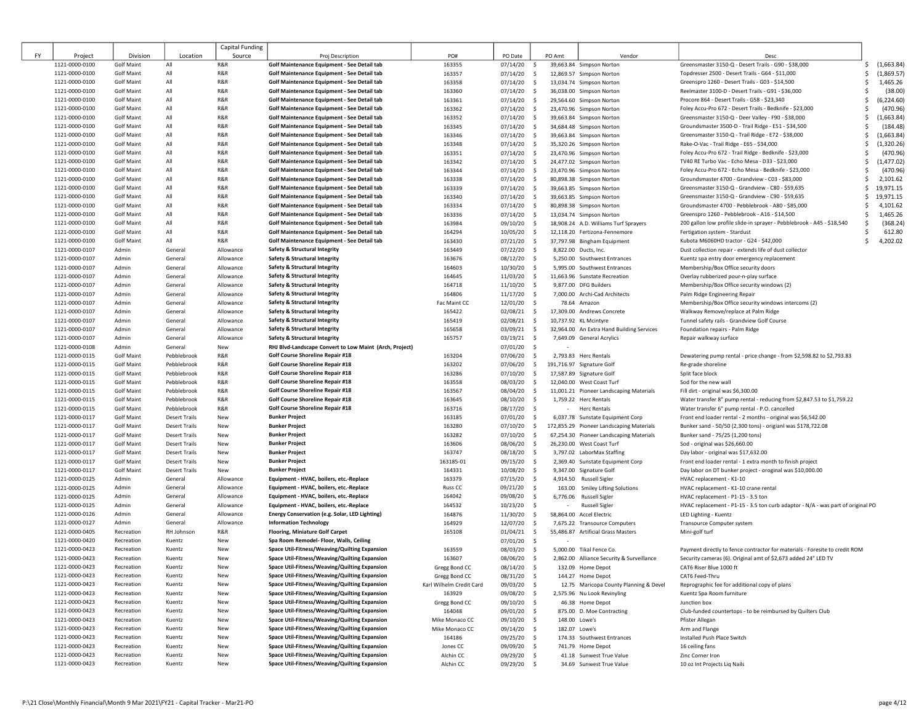|    |                |                   |                      | Capital Funding |                                                         |                          |               |                         |                                           |                                                                                 |                   |  |
|----|----------------|-------------------|----------------------|-----------------|---------------------------------------------------------|--------------------------|---------------|-------------------------|-------------------------------------------|---------------------------------------------------------------------------------|-------------------|--|
| FY | Project        | Division          | Location             | Source          | Proj Description                                        | PO#                      | PO Date       | PO Amt                  | Vendor                                    | Desc                                                                            |                   |  |
|    | 1121-0000-0100 | <b>Golf Maint</b> | All                  | R&R             | Golf Maintenance Equipment - See Detail tab             | 163355                   | 07/14/20      | $\mathsf{S}$            | 39,663.84 Simpson Norton                  | Greensmaster 3150-Q - Desert Trails - G90 - \$38,000                            | Ŝ.<br>(1,663.84)  |  |
|    | 1121-0000-0100 | <b>Golf Maint</b> | All                  | R&R             | Golf Maintenance Equipment - See Detail tab             | 163357                   | 07/14/20      | $\mathsf{S}$            | 12,869.57 Simpson Norton                  | Topdresser 2500 - Desert Trails - G64 - \$11,000                                | (1,869.57)<br>Ś   |  |
|    | 1121-0000-0100 | <b>Golf Maint</b> | All                  | R&R             | Golf Maintenance Equipment - See Detail tab             | 163358                   | $07/14/20$ \$ |                         | 13,034.74 Simpson Norton                  | Greenspro 1260 - Desert Trails - G03 - \$14,500                                 | 1,465.26<br>Ś     |  |
|    | 1121-0000-0100 | <b>Golf Maint</b> | All                  | R&R             | Golf Maintenance Equipment - See Detail tab             | 163360                   | $07/14/20$ \$ |                         | 36,038.00 Simpson Norton                  | Reelmaster 3100-D - Desert Trails - G91 - \$36,000                              | (38.00)<br>Ś      |  |
|    | 1121-0000-0100 | <b>Golf Maint</b> | All                  | R&R             | Golf Maintenance Equipment - See Detail tab             | 163361                   | $07/14/20$ \$ |                         | 29,564.60 Simpson Norton                  | Procore 864 - Desert Trails - G58 - \$23,340                                    | (6, 224.60)<br>Ś  |  |
|    | 1121-0000-0100 | <b>Golf Maint</b> | All                  | R&R             | Golf Maintenance Equipment - See Detail tab             | 163362                   | 07/14/20      | $\sim$                  | 23,470.96 Simpson Norton                  | Foley Accu-Pro 672 - Desert Trails - Bedknife - \$23,000                        | (470.96)<br>Ś     |  |
|    | 1121-0000-0100 | <b>Golf Maint</b> | All                  | R&R             | Golf Maintenance Equipment - See Detail tab             | 163352                   | $07/14/20$ \$ |                         | 39,663.84 Simpson Norton                  | Greensmaster 3150-Q - Deer Valley - F90 - \$38,000                              | (1,663.84)<br>Ś   |  |
|    | 1121-0000-0100 | <b>Golf Maint</b> | All                  | R&R             | Golf Maintenance Equipment - See Detail tab             | 163345                   | $07/14/20$ \$ |                         | 34,684.48 Simpson Norton                  | Groundsmaster 3500-D - Trail Ridge - E51 - \$34,500                             | (184.48)<br>Ś     |  |
|    | 1121-0000-0100 | <b>Golf Maint</b> | All                  | R&R             | Golf Maintenance Equipment - See Detail tab             | 163346                   | 07/14/20      | $\ddot{\mathsf{s}}$     | 39,663.84 Simpson Norton                  | Greensmaster 3150-Q - Trail Ridge - E72 - \$38,000                              | (1,663.84)<br>\$  |  |
|    | 1121-0000-0100 | <b>Golf Maint</b> | All                  | R&R             | Golf Maintenance Equipment - See Detail tab             | 163348                   | 07/14/20      | $\ddot{\mathsf{s}}$     | 35,320.26 Simpson Norton                  | Rake-O-Vac - Trail Ridge - E65 - \$34,000                                       | (1,320.26)<br>\$  |  |
|    | 1121-0000-0100 | <b>Golf Maint</b> | All                  | R&R             | Golf Maintenance Equipment - See Detail tab             | 163351                   | 07/14/20      | $\ddot{\mathsf{s}}$     | 23,470.96 Simpson Norton                  | Foley Accu-Pro 672 - Trail Ridge - Bedknife - \$23,000                          | (470.96)<br>s     |  |
|    | 1121-0000-0100 | <b>Golf Maint</b> | All                  | R&R             | Golf Maintenance Equipment - See Detail tab             | 163342                   | 07/14/20      | $\ddot{\mathsf{s}}$     | 24,477.02 Simpson Norton                  | TV40 RE Turbo Vac - Echo Mesa - D33 - \$23,000                                  | (1, 477.02)<br>\$ |  |
|    | 1121-0000-0100 | <b>Golf Maint</b> | All                  | R&R             | Golf Maintenance Equipment - See Detail tab             | 163344                   | $07/14/20$ \$ |                         | 23,470.96 Simpson Norton                  | Foley Accu-Pro 672 - Echo Mesa - Bedknife - \$23,000                            | (470.96)<br>Ś     |  |
|    | 1121-0000-0100 | <b>Golf Maint</b> | All                  | R&R             | Golf Maintenance Equipment - See Detail tab             | 163338                   | 07/14/20      | $\ddot{\mathsf{s}}$     | 80,898.38 Simpson Norton                  | Groundsmaster 4700 - Grandview - C03 - \$83,000                                 | \$<br>2,101.62    |  |
|    | 1121-0000-0100 | <b>Golf Maint</b> | All                  | R&R             | Golf Maintenance Equipment - See Detail tab             | 163339                   | $07/14/20$ \$ |                         | 39,663.85 Simpson Norton                  | Greensmaster 3150-Q - Grandview - C80 - \$59,635                                | 19,971.15<br>Ś.   |  |
|    | 1121-0000-0100 | <b>Golf Maint</b> | All                  | R&R             | Golf Maintenance Equipment - See Detail tab             | 163340                   | 07/14/20      | $\sim$                  | 39,663.85 Simpson Norton                  | Greensmaster 3150-Q - Grandview - C90 - \$59,635                                | 19,971.15<br>Ŝ.   |  |
|    | 1121-0000-0100 | <b>Golf Maint</b> | All                  | R&R             | Golf Maintenance Equipment - See Detail tab             | 163334                   | 07/14/20      | $\ddot{\mathsf{s}}$     | 80,898.38 Simpson Norton                  | Groundsmaster 4700 - Pebblebrook - A80 - \$85,000                               | 4,101.62<br>Ś     |  |
|    | 1121-0000-0100 | <b>Golf Maint</b> | All                  | R&R             | Golf Maintenance Equipment - See Detail tab             | 163336                   | 07/14/20      | \$                      | 13,034.74 Simpson Norton                  | Greenspro 1260 - Pebblebrook - A16 - \$14,500                                   | 1,465.26<br>Ś     |  |
|    | 1121-0000-0100 | <b>Golf Maint</b> | All                  | R&R             | Golf Maintenance Equipment - See Detail tab             | 163984                   | 09/10/20      | $\ddot{\mathsf{s}}$     | 18,908.24 A.D. Williams Turf Sprayers     | 200 gallon low profile slide-in sprayer - Pebblebrook - A45 - \$18,540          | (368.24)<br>Ŝ     |  |
|    | 1121-0000-0100 | <b>Golf Maint</b> | All                  | R&R             | Golf Maintenance Equipment - See Detail tab             | 164294                   | 10/05/20      | \$                      | 12,118.20 Fertizona-Fennemore             | Fertigation system - Stardust                                                   | 612.80            |  |
|    | 1121-0000-0100 | <b>Golf Maint</b> | All                  | R&R             | Golf Maintenance Equipment - See Detail tab             | 163430                   | 07/21/20      | $\ddot{\mathsf{s}}$     | 37,797.98 Bingham Equipment               | Kubota M6060HD tractor - G24 - \$42,000                                         | 4,202.02<br>Ś.    |  |
|    | 1121-0000-0107 | Admin             | General              | Allowance       | Safety & Structural Integrity                           | 163449                   | 07/22/20      | $\mathsf{S}$            | 8,822.00 Ducts, Inc.                      | Dust collection repair - extends life of dust collector                         |                   |  |
|    | 1121-0000-0107 | Admin             | General              | Allowance       | Safety & Structural Integrity                           | 163676                   | 08/12/20      | $\mathsf{S}$            | 5,250.00 Southwest Entrances              | Kuentz spa entry door emergency replacement                                     |                   |  |
|    | 1121-0000-0107 | Admin             | General              | Allowance       | Safety & Structural Integrity                           | 164603                   | 10/30/20      | $\mathsf{S}$            | 5.995.00 Southwest Entrances              | Membership/Box Office security doors                                            |                   |  |
|    | 1121-0000-0107 | Admin             | General              | Allowance       | <b>Safety &amp; Structural Integrity</b>                | 164645                   | 11/03/20      | $\mathsf{S}$            | 11,663.96 Sunstate Recreation             | Overlay rubberized pour-n-play surface                                          |                   |  |
|    | 1121-0000-0107 | Admin             | General              | Allowance       | Safety & Structural Integrity                           | 164718                   | 11/10/20      | $\mathsf{S}$            | 9,877.00 DFG Builders                     | Membership/Box Office security windows (2)                                      |                   |  |
|    | 1121-0000-0107 | Admin             | General              | Allowance       | Safety & Structural Integrity                           | 164806                   | 11/17/20      | $\mathsf{S}$            | 7,000.00 Archi-Cad Architects             | Palm Ridge Engineering Repair                                                   |                   |  |
|    | 1121-0000-0107 | Admin             | General              | Allowance       | <b>Safety &amp; Structural Integrity</b>                | Fac Maint CC             | $12/01/20$ \$ |                         | 78.64 Amazon                              | Membership/Box Office security windows intercoms (2)                            |                   |  |
|    | 1121-0000-0107 | Admin             | General              | Allowance       | <b>Safety &amp; Structural Integrity</b>                | 165422                   | 02/08/21      | $\sim$                  | 17,309.00 Andrews Concrete                | Walkway Remove/replace at Palm Ridge                                            |                   |  |
|    | 1121-0000-0107 | Admin             | General              | Allowance       | Safety & Structural Integrity                           | 165419                   | $02/08/21$ \$ |                         | 10,737.92 KL Mcintyre                     | Tunnel safety rails - Grandview Golf Course                                     |                   |  |
|    | 1121-0000-0107 | Admin             | General              | Allowance       | Safety & Structural Integrity                           | 165658                   | 03/09/21 \$   |                         | 32,964.00 An Extra Hand Building Services | Foundation repairs - Palm Ridge                                                 |                   |  |
|    | 1121-0000-0107 | Admin             | General              | Allowance       | Safety & Structural Integrity                           | 165757                   | $03/19/21$ \$ |                         | 7,649.09 General Acrylics                 | Repair walkway surface                                                          |                   |  |
|    | 1121-0000-0108 | Admin             | General              | New             | RHJ Blvd-Landscape Convert to Low Maint (Arch, Project) |                          | 07/01/20 \$   |                         |                                           |                                                                                 |                   |  |
|    | 1121-0000-0115 | <b>Golf Maint</b> | Pebblebrook          | R&R             | Golf Course Shoreline Repair #18                        | 163204                   | 07/06/20 \$   |                         | 2,793.83 Herc Rentals                     | Dewatering pump rental - price change - from \$2,598.82 to \$2,793.83           |                   |  |
|    | 1121-0000-0115 | Golf Maint        | Pebblebrook          | R&R             | Golf Course Shoreline Repair #18                        | 163202                   | 07/06/20      | $\ddot{\mathsf{s}}$     | 191,716.97 Signature Golf                 | Re-grade shoreline                                                              |                   |  |
|    | 1121-0000-0115 | <b>Golf Maint</b> | Pebblebrook          | R&R             | Golf Course Shoreline Repair #18                        | 163286                   | 07/10/20      | \$                      | 17,587.89 Signature Golf                  | Split face block                                                                |                   |  |
|    | 1121-0000-0115 | <b>Golf Maint</b> | Pebblebrook          | R&R             | Golf Course Shoreline Repair #18                        | 163558                   | 08/03/20      | \$                      | 12,040.00 West Coast Turf                 | Sod for the new wall                                                            |                   |  |
|    | 1121-0000-0115 | <b>Golf Maint</b> | Pebblebrook          | R&R             | Golf Course Shoreline Repair #18                        | 163567                   | 08/04/20      | \$                      | 11,001.21 Pioneer Landscaping Materials   | Fill dirt - original was \$6,300.00                                             |                   |  |
|    | 1121-0000-0115 | <b>Golf Maint</b> | Pebblebrook          | R&R             | Golf Course Shoreline Repair #18                        | 163645                   | 08/10/20      | $\ddot{\mathsf{s}}$     | 1,759.22 Herc Rentals                     | Water transfer 8" pump rental - reducing from \$2,847.53 to \$1,759.22          |                   |  |
|    | 1121-0000-0115 | <b>Golf Maint</b> | Pebblebrook          | R&R             | Golf Course Shoreline Repair #18                        | 163716                   | 08/17/20      | $\mathsf{S}$<br>$\sim$  | <b>Herc Rentals</b>                       | Water transfer 6" pump rental - P.O. cancelled                                  |                   |  |
|    | 1121-0000-0117 | <b>Golf Maint</b> | <b>Desert Trails</b> | New             | <b>Bunker Project</b>                                   | 163185                   | 07/01/20      | \$                      | 6,037.78 Sunstate Equipment Corp          | Front end loader rental - 2 months - original was \$6,542.00                    |                   |  |
|    | 1121-0000-0117 | <b>Golf Maint</b> | <b>Desert Trails</b> | New             | <b>Bunker Project</b>                                   | 163280                   | 07/10/20      | $\ddot{\mathsf{s}}$     | 172,855.29 Pioneer Landscaping Materials  | Bunker sand - 50/50 (2,300 tons) - origianl was \$178,722.08                    |                   |  |
|    | 1121-0000-0117 | <b>Golf Maint</b> | <b>Desert Trails</b> | New             | <b>Bunker Project</b>                                   | 163282                   | 07/10/20      | $\ddot{\mathsf{s}}$     | 67,254.30 Pioneer Landscaping Materials   | Bunker sand - 75/25 (1,200 tons)                                                |                   |  |
|    | 1121-0000-0117 | <b>Golf Maint</b> | <b>Desert Trails</b> | New             | <b>Bunker Project</b>                                   | 163606                   | 08/06/20      | \$                      | 26,230.00 West Coast Turf                 | Sod - original was \$26,660.00                                                  |                   |  |
|    | 1121-0000-0117 | <b>Golf Maint</b> | <b>Desert Trails</b> | New             | <b>Bunker Project</b>                                   | 163747                   | 08/18/20      | $\ddot{\mathsf{s}}$     | 3,797.02 LaborMax Staffing                | Day labor - original was \$17,632.00                                            |                   |  |
|    | 1121-0000-0117 | <b>Golf Maint</b> | <b>Desert Trails</b> | New             | <b>Bunker Project</b>                                   | 163185-01                | 09/15/20      | $\sim$                  | 2,369.40 Sunstate Equipment Corp          | Front end loader rental - 1 extra month to finish project                       |                   |  |
|    | 1121-0000-0117 | <b>Golf Maint</b> | <b>Desert Trails</b> | New             | <b>Bunker Project</b>                                   | 164331                   | 10/08/20      | $\mathsf{S}$            | 9,347.00 Signature Golf                   | Day labor on DT bunker project - oroginal was \$10,000.00                       |                   |  |
|    | 1121-0000-0125 | Admin             | General              | Allowance       | Equipment - HVAC, boilers, etc.-Replace                 | 163379                   | 07/15/20      | $\mathsf{S}$            | 4,914.50 Russell Sigler                   | HVAC replacement - K1-10                                                        |                   |  |
|    | 1121-0000-0125 | Admin             | General              | Allowance       | Equipment - HVAC, boilers, etc.-Replace                 | Russ <sub>CC</sub>       | 09/21/20      | $\mathsf{S}$            | 163.00 Smiley Lifting Solutions           | HVAC replacement - K1-10 crane rental                                           |                   |  |
|    | 1121-0000-0125 | Admin             | General              | Allowance       | Equipment - HVAC, boilers, etc.-Replace                 | 164042                   | 09/08/20 \$   |                         | 6,776.06 Russell Sigler                   | HVAC replacement - P1-15 - 3.5 ton                                              |                   |  |
|    | 1121-0000-0125 | Admin             | General              | Allowance       | Equipment - HVAC, boilers, etc.-Replace                 | 164532                   | $10/23/20$ \$ | $\sim$                  | <b>Russell Sigler</b>                     | HVAC replacement - P1-15 - 3.5 ton curb adaptor - N/A - was part of original PO |                   |  |
|    | 1121-0000-0126 | Admin             | General              | Allowance       | Energy Conservation (e.g. Solar, LED Lighting)          | 164876                   | 11/30/20      | $\mathsf{S}$            | 58,864.00 Accel Electric                  | LED Lighting - Kuentz                                                           |                   |  |
|    | 1121-0000-0127 | Admin             | General              | Allowance       | <b>Information Technology</b>                           | 164929                   | 12/07/20      | $\sim$                  | 7,675.22 Transource Computers             | Transource Computer system                                                      |                   |  |
|    | 1121-0000-0405 | Recreation        | RH Johnson           | R&R             | <b>Flooring, Miniature Golf Carpet</b>                  | 165108                   | 01/04/21      | $\ddot{\mathsf{s}}$     | 55,486.87 Artificial Grass Masters        | Mini-golf turf                                                                  |                   |  |
|    | 1121-0000-0420 | Recreation        | Kuentz               | New             | Spa Room Remodel- Floor, Walls, Ceiling                 |                          | 07/01/20 \$   |                         |                                           |                                                                                 |                   |  |
|    | 1121-0000-0423 | Recreation        | Kuentz               | New             | Space Util-Fitness/Weaving/Quilting Expansion           | 163559                   | 08/03/20      | \$                      | 5,000.00 Tikal Fence Co.                  | Payment directly to fence contractor for materials - Foresite to credit ROM     |                   |  |
|    | 1121-0000-0423 | Recreation        | Kuentz               | New             | Space Util-Fitness/Weaving/Quilting Expansion           | 163607                   | 08/06/20      | $\frac{1}{2}$           | 2,862.00 Alliance Security & Surveillance | Security cameras (6). Original amt of \$2,673 added 24" LED TV                  |                   |  |
|    | 1121-0000-0423 | Recreation        | Kuentz               | New             | Space Util-Fitness/Weaving/Quilting Expansion           | Gregg Bond CC            | 08/14/20      | - \$                    | 132.09 Home Depot                         | CAT6 Riser Blue 1000 ft                                                         |                   |  |
|    | 1121-0000-0423 | Recreation        | Kuentz               | New             | Space Util-Fitness/Weaving/Quilting Expansion           | Gregg Bond CC            | 08/31/20      | $\sim$                  | 144.27 Home Depot                         | CAT6 Feed-Thru                                                                  |                   |  |
|    | 1121-0000-0423 | Recreation        | Kuentz               | New             | Space Util-Fitness/Weaving/Quilting Expansion           | Karl Wilhelm Credit Card | 09/03/20      | $\ddot{\mathsf{s}}$     | 12.75 Maricopa County Planning & Devel    | Reprographic fee for additional copy of plans                                   |                   |  |
|    | 1121-0000-0423 | Recreation        | Kuentz               | New             | Space Util-Fitness/Weaving/Quilting Expansion           | 163929                   | 09/08/20 \$   |                         | 2,575.96 Nu Look Revinyling               | Kuentz Spa Room furniture                                                       |                   |  |
|    | 1121-0000-0423 | Recreation        | Kuentz               | New             | Space Util-Fitness/Weaving/Quilting Expansion           | Gregg Bond CC            | 09/10/20      | $\ddot{\mathsf{s}}$     | 46.38 Home Depot                          | Junction box                                                                    |                   |  |
|    | 1121-0000-0423 | Recreation        | Kuentz               | New             | Space Util-Fitness/Weaving/Quilting Expansion           | 164048                   | 09/01/20      | $\sim$                  | 875.00 D. Moe Contracting                 | Club-funded countertops - to be reimbursed by Quilters Club                     |                   |  |
|    | 1121-0000-0423 | Recreation        | Kuentz               | New             | Space Util-Fitness/Weaving/Quilting Expansion           | Mike Monaco CC           | 09/10/20      | - \$<br>148.00 Lowe's   |                                           | Pfister Allegan                                                                 |                   |  |
|    | 1121-0000-0423 | Recreation        | Kuentz               | New             | Space Util-Fitness/Weaving/Quilting Expansion           | Mike Monaco CC           | 09/14/20      | $\sim$<br>182.07 Lowe's |                                           | Arm and Flange                                                                  |                   |  |
|    | 1121-0000-0423 | Recreation        | Kuentz               | New             | Space Util-Fitness/Weaving/Quilting Expansion           | 164186                   | 09/25/20      | $\sim$                  | 174.33 Southwest Entrances                | Installed Push Place Switch                                                     |                   |  |
|    | 1121-0000-0423 | Recreation        | Kuentz               | New             | Space Util-Fitness/Weaving/Quilting Expansion           | Jones CC                 | 09/09/20      | $\ddot{\mathsf{s}}$     | 741.79 Home Depot                         | 16 ceiling fans                                                                 |                   |  |
|    | 1121-0000-0423 | Recreation        | Kuentz               | New             | Space Util-Fitness/Weaving/Quilting Expansion           | Alchin CC                | 09/29/20      | $\ddot{\mathsf{s}}$     | 41.18 Sunwest True Value                  | Zinc Corner Iron                                                                |                   |  |
|    | 1121-0000-0423 | Recreation        | Kuentz               | New             | Space Util-Fitness/Weaving/Quilting Expansion           | Alchin CC                | 09/29/20 \$   |                         | 34.69 Sunwest True Value                  | 10 oz Int Projects Liq Nails                                                    |                   |  |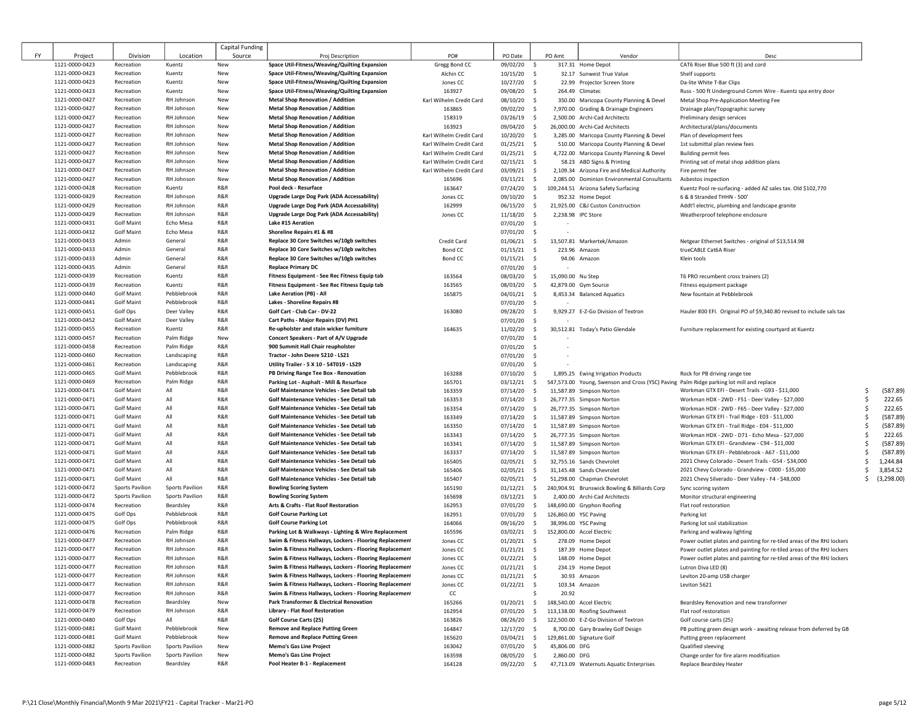|    |                                  |                                           |                                                  | Capital Funding |                                                                                    |                                                      |                           |                           |                   |                                                                                          |                                                                        |    |            |
|----|----------------------------------|-------------------------------------------|--------------------------------------------------|-----------------|------------------------------------------------------------------------------------|------------------------------------------------------|---------------------------|---------------------------|-------------------|------------------------------------------------------------------------------------------|------------------------------------------------------------------------|----|------------|
| FY | Project                          | Division                                  | Location                                         | Source          | Proj Description                                                                   | PO#                                                  | PO Date                   | PO Amt                    |                   | Vendor                                                                                   | Desc                                                                   |    |            |
|    | 1121-0000-0423                   | Recreation                                | Kuentz                                           | New             | Space Util-Fitness/Weaving/Quilting Expansion                                      | Gregg Bond CC                                        | 09/02/20                  | - \$                      |                   | 317.31 Home Depot                                                                        | CAT6 Riser Blue 500 ft (3) and cord                                    |    |            |
|    | 1121-0000-0423                   | Recreation                                | Kuentz                                           | New             | Space Util-Fitness/Weaving/Quilting Expansion                                      | Alchin CC                                            | 10/15/20                  | - \$                      |                   | 32.17 Sunwest True Value                                                                 | Shelf supports                                                         |    |            |
|    | 1121-0000-0423                   | Recreation                                | Kuentz                                           | New             | Space Util-Fitness/Weaving/Quilting Expansion                                      | Jones CC                                             | 10/27/20                  | $\ddot{\mathsf{s}}$       |                   | 22.99 Projector Screen Store                                                             | Da-lite White T-Bar Clips                                              |    |            |
|    | 1121-0000-0423                   | Recreation                                | Kuentz                                           | New             | Space Util-Fitness/Weaving/Quilting Expansion                                      | 163927                                               | 09/08/20                  | \$                        |                   | 264.49 Climatec                                                                          | Russ - 500 ft Underground Comm Wire - Kuentz spa entry door            |    |            |
|    | 1121-0000-0427                   | Recreation                                | RH Johnson                                       | New             | <b>Metal Shop Renovation / Addition</b>                                            | Karl Wilhelm Credit Card                             | 08/10/20                  | \$                        |                   | 350.00 Maricopa County Planning & Devel                                                  | Metal Shop Pre-Application Meeting Fee                                 |    |            |
|    | 1121-0000-0427                   | Recreation                                | RH Johnson                                       | New             | <b>Metal Shop Renovation / Addition</b>                                            | 163865                                               | 09/02/20                  | \$                        |                   | 7,970.00 Grading & Drainage Engineers                                                    | Drainage plan/Topographic survey                                       |    |            |
|    | 1121-0000-0427                   | Recreation                                | RH Johnson                                       | New             | <b>Metal Shop Renovation / Addition</b>                                            | 158319                                               | 03/26/19                  | \$                        |                   | 2,500.00 Archi-Cad Architects                                                            | Preliminary design services                                            |    |            |
|    | 1121-0000-0427                   | Recreation                                | RH Johnson                                       | New             | <b>Metal Shop Renovation / Addition</b>                                            | 163923                                               | 09/04/20                  | \$                        |                   | 26,000.00 Archi-Cad Architects                                                           | Architectural/plans/documents                                          |    |            |
|    | 1121-0000-0427                   | Recreation                                | RH Johnson                                       | New             | <b>Metal Shop Renovation / Addition</b>                                            | Karl Wilhelm Credit Card                             | 10/20/20                  | \$                        |                   | 3,285.00 Maricopa County Planning & Devel                                                | Plan of development fees                                               |    |            |
|    | 1121-0000-0427                   | Recreation                                | RH Johnson                                       | New             | <b>Metal Shop Renovation / Addition</b>                                            | Karl Wilhelm Credit Card                             | 01/25/21                  | \$                        |                   | 510.00 Maricopa County Planning & Devel                                                  | 1st submittal plan review fees                                         |    |            |
|    | 1121-0000-0427<br>1121-0000-0427 | Recreation<br>Recreation                  | RH Johnson<br>RH Johnson                         | New<br>New      | <b>Metal Shop Renovation / Addition</b><br><b>Metal Shop Renovation / Addition</b> | Karl Wilhelm Credit Card<br>Karl Wilhelm Credit Card | $01/25/21$ \$             |                           |                   | 4,722.00 Maricopa County Planning & Devel                                                | <b>Building permit fees</b>                                            |    |            |
|    | 1121-0000-0427                   | Recreation                                | RH Johnson                                       | New             | <b>Metal Shop Renovation / Addition</b>                                            | Karl Wilhelm Credit Card                             | $02/15/21$ \$<br>03/09/21 | $\sim$                    |                   | 58.23 ABD Signs & Printing<br>2,109.34 Arizona Fire and Medical Authority                | Printing set of metal shop addition plans<br>Fire permit fee           |    |            |
|    | 1121-0000-0427                   | Recreation                                | RH Johnson                                       | New             | <b>Metal Shop Renovation / Addition</b>                                            | 165696                                               | 03/11/21                  | \$                        |                   | 2,085.00 Dominion Environmental Consultants                                              | Asbestos inspection                                                    |    |            |
|    | 1121-0000-0428                   | Recreation                                | Kuentz                                           | R&R             | Pool deck - Resurface                                                              | 163647                                               | $07/24/20$ \$             |                           |                   | 109,244.51 Arizona Safety Surfacing                                                      | Kuentz Pool re-surfacing - added AZ sales tax. Old \$102,770           |    |            |
|    | 1121-0000-0429                   | Recreation                                | RH Johnson                                       | R&R             | <b>Upgrade Large Dog Park (ADA Accessability)</b>                                  | Jones CC                                             | 09/10/20                  | $\sim$                    |                   | 952.32 Home Depot                                                                        | 6 & 8 Stranded THHN - 500'                                             |    |            |
|    | 1121-0000-0429                   | Recreation                                | RH Johnson                                       | R&R             | <b>Upgrade Large Dog Park (ADA Accessability)</b>                                  | 162999                                               | 06/15/20                  | S.                        |                   | 21.925.00 C&J Custon Construction                                                        | Addt'l electric, plumbing and landscape granite                        |    |            |
|    | 1121-0000-0429                   | Recreation                                | RH Johnson                                       | R&R             | <b>Upgrade Large Dog Park (ADA Accessability)</b>                                  | Jones CC                                             | 11/18/20                  | $\sim$                    |                   | 2,238.98 IPC Store                                                                       | Weatherproof telephone enclosure                                       |    |            |
|    | 1121-0000-0431                   | <b>Golf Maint</b>                         | Echo Mesa                                        | R&R             | Lake #15 Aeration                                                                  |                                                      | 07/01/20 \$               |                           |                   |                                                                                          |                                                                        |    |            |
|    | 1121-0000-0432                   | <b>Golf Maint</b>                         | Echo Mesa                                        | R&R             | Shoreline Repairs #1 & #8                                                          |                                                      | 07/01/20 \$               |                           |                   |                                                                                          |                                                                        |    |            |
|    | 1121-0000-0433                   | Admin                                     | General                                          | R&R             | Replace 30 Core Switches w/10gb switches                                           | Credit Card                                          | 01/06/21                  | \$                        |                   | 13,507.81 Markertek/Amazon                                                               | Netgear Ethernet Switches - original of \$13,514.98                    |    |            |
|    | 1121-0000-0433                   | Admin                                     | General                                          | R&R             | Replace 30 Core Switches w/10gb switches                                           | <b>Bond CC</b>                                       | $01/15/21$ \$             |                           |                   | 223.96 Amazon                                                                            | trueCABLE Cat6A Riser                                                  |    |            |
|    | 1121-0000-0433                   | Admin                                     | General                                          | R&R             | Replace 30 Core Switches w/10gb switches                                           | Bond CC                                              | $01/15/21$ \$             |                           |                   | 94.06 Amazon                                                                             | Klein tools                                                            |    |            |
|    | 1121-0000-0435                   | Admin                                     | General                                          | R&R             | <b>Replace Primary DC</b>                                                          |                                                      | 07/01/20 \$               |                           |                   |                                                                                          |                                                                        |    |            |
|    | 1121-0000-0439                   | Recreation                                | Kuentz                                           | R&R             | Fitness Equipment - See Rec Fitness Equip tab                                      | 163564                                               | 08/03/20                  | \$                        | 15,090.00 Nu Step |                                                                                          | T6 PRO recumbent cross trainers (2)                                    |    |            |
|    | 1121-0000-0439                   | Recreation                                | Kuentz                                           | R&R             | Fitness Equipment - See Rec Fitness Equip tab                                      | 163565                                               | 08/03/20                  | $\sim$                    |                   | 42,879.00 Gym Source                                                                     | Fitness equipment package                                              |    |            |
|    | 1121-0000-0440                   | <b>Golf Maint</b>                         | Pebblebrook                                      | R&R             | Lake Aeration (PB) - All                                                           | 165875                                               | 04/01/21 \$               |                           |                   | 8,453.34 Balanced Aquatics                                                               | New fountain at Pebblebrook                                            |    |            |
|    | 1121-0000-0441                   | <b>Golf Maint</b>                         | Pebblebrook                                      | R&R             | Lakes - Shoreline Repairs #8                                                       |                                                      | 07/01/20                  | \$                        |                   |                                                                                          |                                                                        |    |            |
|    | 1121-0000-0451                   | Golf Ops                                  | Deer Valley                                      | R&R<br>R&R      | Golf Cart - Club Car - DV-22<br>Cart Paths - Major Repairs (DV) PH1                | 163080                                               | 09/28/20                  | \$                        |                   | 9,929.27 E-Z-Go Division of Textron                                                      | Hauler 800 EFI. Original PO of \$9,340.80 revised to include sals tax  |    |            |
|    | 1121-0000-0452<br>1121-0000-0455 | <b>Golf Maint</b><br>Recreation           | Deer Valley<br>Kuentz                            | R&R             | Re-upholster and stain wicker furniture                                            | 164635                                               | 07/01/20                  | \$                        |                   | 30,512.81 Today's Patio Glendale                                                         |                                                                        |    |            |
|    | 1121-0000-0457                   | Recreation                                | Palm Ridge                                       | New             | Concert Speakers - Part of A/V Upgrade                                             |                                                      | 11/02/20<br>07/01/20      | \$<br>$\ddot{\mathsf{s}}$ |                   |                                                                                          | Furniture replacement for existing courtyard at Kuentz                 |    |            |
|    | 1121-0000-0458                   | Recreation                                | Palm Ridge                                       | R&R             | 900 Summit Hall Chair reupholster                                                  |                                                      | 07/01/20                  | \$                        |                   |                                                                                          |                                                                        |    |            |
|    | 1121-0000-0460                   | Recreation                                | Landscaping                                      | R&R             | Tractor - John Deere 5210 - LS21                                                   |                                                      | 07/01/20                  | \$                        |                   |                                                                                          |                                                                        |    |            |
|    | 1121-0000-0461                   | Recreation                                | Landscaping                                      | R&R             | Utility Trailer - 5 X 10 - 54T019 - LS29                                           |                                                      | 07/01/20                  | - \$                      |                   |                                                                                          |                                                                        |    |            |
|    | 1121-0000-0465                   | <b>Golf Maint</b>                         | Pebblebrook                                      | R&R             | PB Driving Range Tee Box - Renovation                                              | 163288                                               | 07/10/20                  | \$                        |                   | 1,895.25 Ewing Irrigation Products                                                       | Rock for PB driving range tee                                          |    |            |
|    | 1121-0000-0469                   | Recreation                                | Palm Ridge                                       | R&R             | Parking Lot - Asphalt - Mill & Resurface                                           | 165701                                               | 03/12/21                  | \$                        |                   | 547,573.00 Young, Swenson and Cross (YSC) Paving Palm Ridge parking lot mill and replace |                                                                        |    |            |
|    | 1121-0000-0471                   | <b>Golf Maint</b>                         | All                                              | R&R             | Golf Maintenance Vehicles - See Detail tab                                         | 163359                                               | 07/14/20                  | $\sim$                    |                   | 11,587.89 Simpson Norton                                                                 | Workman GTX EFI - Desert Trails - G93 - \$11,000                       | \$ | (587.89)   |
|    | 1121-0000-0471                   | <b>Golf Maint</b>                         | All                                              | R&R             | Golf Maintenance Vehicles - See Detail tab                                         | 163353                                               | 07/14/20                  | \$                        |                   | 26,777.35 Simpson Norton                                                                 | Workman HDX - 2WD - F51 - Deer Valley - \$27,000                       | \$ | 222.65     |
|    | 1121-0000-0471                   | <b>Golf Maint</b>                         | All                                              | R&R             | Golf Maintenance Vehicles - See Detail tab                                         | 163354                                               | 07/14/20                  | \$                        |                   | 26,777.35 Simpson Norton                                                                 | Workman HDX - 2WD - F65 - Deer Valley - \$27,000                       | \$ | 222.65     |
|    | 1121-0000-0471                   | <b>Golf Maint</b>                         | All                                              | R&R             | Golf Maintenance Vehicles - See Detail tab                                         | 163349                                               | 07/14/20                  | \$                        |                   | 11,587.89 Simpson Norton                                                                 | Workman GTX EFI - Trail Ridge - E03 - \$11,000                         | Ŝ. | (587.89)   |
|    | 1121-0000-0471                   | <b>Golf Maint</b>                         | All                                              | R&R             | Golf Maintenance Vehicles - See Detail tab                                         | 163350                                               | 07/14/20                  | $\ddot{\mathsf{s}}$       |                   | 11,587.89 Simpson Norton                                                                 | Workman GTX EFI - Trail Ridge - E04 - \$11,000                         | \$ | (587.89)   |
|    | 1121-0000-0471                   | <b>Golf Maint</b>                         | All                                              | R&R             | Golf Maintenance Vehicles - See Detail tab                                         | 163343                                               | 07/14/20                  | \$                        |                   | 26,777.35 Simpson Norton                                                                 | Workman HDX - 2WD - D71 - Echo Mesa - \$27,000                         | Ŝ. | 222.65     |
|    | 1121-0000-0471                   | <b>Golf Maint</b>                         | All                                              | R&R             | Golf Maintenance Vehicles - See Detail tab                                         | 163341                                               | 07/14/20                  | \$                        |                   | 11,587.89 Simpson Norton                                                                 | Workman GTX EFI - Grandview - C94 - \$11,000                           | Ŝ. | (587.89)   |
|    | 1121-0000-0471                   | <b>Golf Maint</b>                         | All                                              | R&R             | Golf Maintenance Vehicles - See Detail tab                                         | 163337                                               | 07/14/20                  | \$                        |                   | 11,587.89 Simpson Norton                                                                 | Workman GTX EFI - Pebblebrook - A67 - \$11,000                         | Ŝ  | (587.89)   |
|    | 1121-0000-0471                   | <b>Golf Maint</b>                         | All                                              | R&R             | Golf Maintenance Vehicles - See Detail tab                                         | 165405                                               | $02/05/21$ \$             |                           |                   | 32,755.16 Sands Chevrolet                                                                | 2021 Chevy Colorado - Desert Trails - G54 - \$34,000                   | \$ | 1,244.84   |
|    | 1121-0000-0471                   | <b>Golf Maint</b>                         | All                                              | R&R             | Golf Maintenance Vehicles - See Detail tab                                         | 165406                                               | 02/05/21                  | $\frac{1}{2}$             |                   | 31,145.48 Sands Chevrolet                                                                | 2021 Chevy Colorado - Grandview - C000 - \$35,000                      | Ŝ. | 3,854.52   |
|    | 1121-0000-0471                   | <b>Golf Maint</b>                         | All                                              | R&R             | Golf Maintenance Vehicles - See Detail tab                                         | 165407                                               | 02/05/21                  | \$                        |                   | 51,298.00 Chapman Chevrolet                                                              | 2021 Chevy Silverado - Deer Valley - F4 - \$48,000                     | \$ | (3,298.00) |
|    | 1121-0000-0472<br>1121-0000-0472 | Sports Pavilion<br><b>Sports Pavilion</b> | <b>Sports Pavilion</b><br><b>Sports Pavilion</b> | R&R<br>R&R      | <b>Bowling Scoring System</b><br><b>Bowling Scoring System</b>                     | 165190                                               | $01/12/21$ \$             |                           |                   | 240,904.91 Brunswick Bowling & Billiards Corp<br>2,400.00 Archi-Cad Architects           | Sync scoring system                                                    |    |            |
|    | 1121-0000-0474                   | Recreation                                | Beardsley                                        | R&R             | Arts & Crafts - Flat Roof Restoration                                              | 165698<br>162953                                     | 03/12/21<br>07/01/20      | $\sim$<br>$\sim$          |                   | 148,690.00 Gryphon Roofing                                                               | Monitor structural engineering<br>Flat roof restoration                |    |            |
|    | 1121-0000-0475                   | Golf Ops                                  | Pebblebrook                                      | R&R             | <b>Golf Course Parking Lot</b>                                                     | 162951                                               | 07/01/20                  | $\frac{1}{2}$             |                   | 126,860.00 YSC Paving                                                                    | Parking lot                                                            |    |            |
|    | 1121-0000-0475                   | Golf Ops                                  | Pebblebrook                                      | R&R             | <b>Golf Course Parking Lot</b>                                                     | 164066                                               | 09/16/20                  | \$                        |                   | 38,996.00 YSC Paving                                                                     | Parking lot soil stabilization                                         |    |            |
|    | 1121-0000-0476                   | Recreation                                | Palm Ridge                                       | R&R             | Parking Lot & Walkways - Lighting & Wire Replacement                               | 165596                                               | 03/02/21                  | \$                        |                   | 152,800.00 Accel Electric                                                                | Parking and walkway lighting                                           |    |            |
|    | 1121-0000-0477                   | Recreation                                | RH Johnson                                       | R&R             | Swim & Fitness Hallways, Lockers - Flooring Replacement                            | Jones CC                                             | $01/20/21$ \$             |                           |                   | 278.09 Home Depot                                                                        | Power outlet plates and painting for re-tiled areas of the RHJ lockers |    |            |
|    | 1121-0000-0477                   | Recreation                                | RH Johnson                                       | R&R             | Swim & Fitness Hallways, Lockers - Flooring Replacement                            | Jones CC                                             | 01/21/21                  | $\sim$                    |                   | 187.39 Home Depot                                                                        | Power outlet plates and painting for re-tiled areas of the RHJ lockers |    |            |
|    | 1121-0000-0477                   | Recreation                                | RH Johnson                                       | R&R             | Swim & Fitness Hallways, Lockers - Flooring Replacement                            | Jones CC                                             | $01/22/21$ \$             |                           |                   | 148.09 Home Depot                                                                        | Power outlet plates and painting for re-tiled areas of the RHJ lockers |    |            |
|    | 1121-0000-0477                   | Recreation                                | RH Johnson                                       | R&R             | Swim & Fitness Hallways, Lockers - Flooring Replacement                            | Jones CC                                             | $01/21/21$ \$             |                           |                   | 234.19 Home Depot                                                                        | Lutron Diva LED (8)                                                    |    |            |
|    | 1121-0000-0477                   | Recreation                                | RH Johnson                                       | R&R             | Swim & Fitness Hallways, Lockers - Flooring Replacement                            | Jones CC                                             | $01/21/21$ \$             |                           |                   | 30.93 Amazon                                                                             | Leviton 20-amp USB charger                                             |    |            |
|    | 1121-0000-0477                   | Recreation                                | RH Johnson                                       | R&R             | Swim & Fitness Hallways, Lockers - Flooring Replacement                            | Jones CC                                             | $01/22/21$ \$             |                           |                   | 103.34 Amazon                                                                            | Leviton 5621                                                           |    |            |
|    | 1121-0000-0477                   | Recreation                                | RH Johnson                                       | R&R             | Swim & Fitness Hallways, Lockers - Flooring Replacement                            | CC                                                   |                           | Ŝ                         | 20.92             |                                                                                          |                                                                        |    |            |
|    | 1121-0000-0478                   | Recreation                                | Beardsley                                        | New             | Park Transformer & Electrical Renovation                                           | 165266                                               | $01/20/21$ \$             |                           |                   | 148,540.00 Accel Electric                                                                | Beardsley Renovation and new transformer                               |    |            |
|    | 1121-0000-0479                   | Recreation                                | RH Johnson                                       | R&R             | <b>Library - Flat Roof Restoration</b>                                             | 162954                                               | 07/01/20                  | \$                        |                   | 113,138.00 Roofing Southwest                                                             | Flat roof restoration                                                  |    |            |
|    | 1121-0000-0480                   | Golf Ops                                  | All                                              | R&R             | Golf Course Carts (25)                                                             | 163826                                               | 08/26/20                  | \$                        |                   | 122,500.00 E-Z-Go Division of Textron                                                    | Golf course carts (25)                                                 |    |            |
|    | 1121-0000-0481                   | <b>Golf Maint</b>                         | Pebblebrook                                      | New             | <b>Remove and Replace Putting Green</b>                                            | 164847                                               | 12/17/20                  | $\mathsf{S}$              |                   | 8,700.00 Gary Brawley Golf Design                                                        | PB putting green design work - awaiting release from deferred by GB    |    |            |
|    | 1121-0000-0481                   | <b>Golf Maint</b>                         | Pebblebrook                                      | New             | <b>Remove and Replace Putting Green</b>                                            | 165620                                               | 03/04/21 \$               |                           |                   | 129,861.00 Signature Golf                                                                | Putting green replacement                                              |    |            |
|    | 1121-0000-0482                   | <b>Sports Pavilion</b>                    | <b>Sports Pavilion</b>                           | New             | Memo's Gas Line Project                                                            | 163042                                               | 07/01/20                  | $\sim$                    | 45,806.00 DFG     |                                                                                          | Qualified sleeving                                                     |    |            |
|    | 1121-0000-0482                   | Sports Pavilion                           | <b>Sports Pavilion</b>                           | New             | Memo's Gas Line Project                                                            | 163598                                               | 08/05/20 \$               |                           | 2,860.00 DFG      |                                                                                          | Change order for fire alarm modification                               |    |            |
|    | 1121-0000-0483                   | Recreation                                | Beardsley                                        | R&R             | Pool Heater B-1 - Replacement                                                      | 164128                                               | 09/22/20 \$               |                           |                   | 47,713.09 Waternuts Aquatic Enterprises                                                  | Replace Beardsley Heater                                               |    |            |

 $\Gamma$  $\lfloor$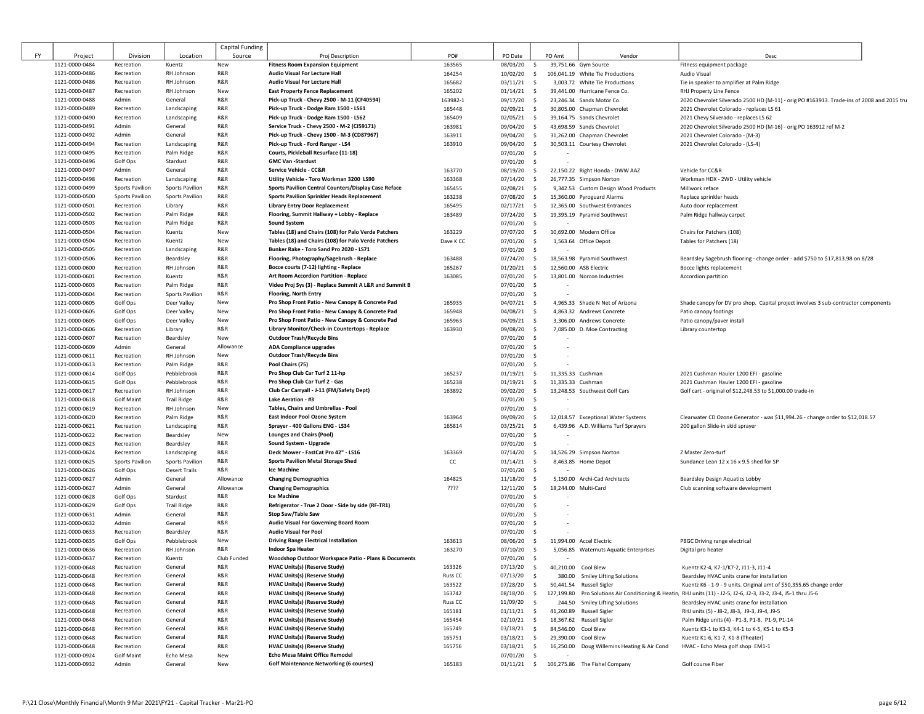|           |                                  |                          |                           | Capital Funding |                                                                                     |                    |                                |                                   |                                                                    |                                                                                                                  |
|-----------|----------------------------------|--------------------------|---------------------------|-----------------|-------------------------------------------------------------------------------------|--------------------|--------------------------------|-----------------------------------|--------------------------------------------------------------------|------------------------------------------------------------------------------------------------------------------|
| <b>FY</b> | Project                          | Division                 | Location                  | Source          | Proj Description                                                                    | PO#                | PO Date                        | PO Amt                            | Vendor                                                             | Desc                                                                                                             |
|           | 1121-0000-0484                   | Recreation               | Kuentz                    | New             | <b>Fitness Room Expansion Equipment</b>                                             | 163565             | 08/03/20                       | $\mathsf{S}$                      | 39,751.66 Gym Source                                               | Fitness equipment package                                                                                        |
|           | 1121-0000-0486                   | Recreation               | RH Johnson                | R&R             | Audio Visual For Lecture Hall                                                       | 164254             | 10/02/20                       | S.                                | 106,041.19 White Tie Productions                                   | Audio Visual                                                                                                     |
|           | 1121-0000-0486                   | Recreation               | RH Johnson                | R&R             | Audio Visual For Lecture Hall                                                       | 165682             | 03/11/21<br>- S                |                                   | 3,003.72 White Tie Productions                                     | Tie in speaker to amplifier at Palm Ridge                                                                        |
|           | 1121-0000-0487                   | Recreation               | RH Johnson                | New             | <b>East Property Fence Replacement</b>                                              | 165202             | 01/14/21                       | S.                                | 39,441.00 Hurricane Fence Co.                                      | RHJ Property Line Fence                                                                                          |
|           | 1121-0000-0488                   | Admin                    | General                   | R&R             | Pick-up Truck - Chevy 2500 - M-11 (CF40594)                                         | 163982-1           | 09/17/20                       | - S                               | 23,246.34 Sands Motor Co.                                          | 2020 Chevrolet Silverado 2500 HD (M-11) - orig PO #163913. Trade-ins of 2008 and 2015 tru                        |
|           | 1121-0000-0489                   | Recreation               | Landscaping               | R&R             | Pick-up Truck - Dodge Ram 1500 - LS61                                               | 165448             | 02/09/21                       | S.                                | 30,805.00 Chapman Chevrolet                                        | 2021 Chevrolet Colorado - replaces LS 61                                                                         |
|           | 1121-0000-0490                   | Recreation               | Landscaping               | R&R<br>R&R      | Pick-up Truck - Dodge Ram 1500 - LS62                                               | 165409             | $02/05/21$ \$                  |                                   | 39,164.75 Sands Chevrolet                                          | 2021 Chevy Silverado - replaces LS 62                                                                            |
|           | 1121-0000-0491                   | Admin                    | General                   | R&R             | Service Truck - Chevy 2500 - M-2 (CJ59171)                                          | 163981             | 09/04/20 \$                    |                                   | 43,698.59 Sands Chevrolet                                          | 2020 Chevrolet Silverado 2500 HD (M-16) - orig PO 163912 ref M-2                                                 |
|           | 1121-0000-0492<br>1121-0000-0494 | Admin                    | General                   | R&R             | Pick-up Truck - Chevy 1500 - M-3 (CD87967)<br>Pick-up Truck - Ford Ranger - LS4     | 163911             | 09/04/20                       | $\sim$                            | 31,262.00 Chapman Chevrolet                                        | 2021 Chevrolet Colorado - (M-3)                                                                                  |
|           | 1121-0000-0495                   | Recreation<br>Recreation | Landscaping<br>Palm Ridge | R&R             | Courts, Pickleball Resurface (11-18)                                                | 163910             | 09/04/20<br>$07/01/20$ \$      | $\sim$                            | 30,503.11 Courtesy Chevrolet                                       | 2021 Chevrolet Colorado - (LS-4)                                                                                 |
|           | 1121-0000-0496                   | Golf Ops                 | Stardust                  | R&R             | <b>GMC Van -Stardust</b>                                                            |                    | $07/01/20$ \$                  |                                   |                                                                    |                                                                                                                  |
|           | 1121-0000-0497                   | Admin                    | General                   | R&R             | Service Vehicle - CC&R                                                              | 163770             | 08/19/20                       | $\sim$                            | 22,150.22 Right Honda - DWW AAZ                                    | Vehicle for CC&R                                                                                                 |
|           | 1121-0000-0498                   | Recreation               | Landscaping               | R&R             | Utility Vehicle - Toro Workman 3200 LS90                                            | 163368             | 07/14/20                       | $\sim$                            | 26,777.35 Simpson Norton                                           | Workman HDX - 2WD - Utility vehicle                                                                              |
|           | 1121-0000-0499                   | <b>Sports Pavilion</b>   | <b>Sports Pavilion</b>    | R&R             | Sports Pavilion Central Counters/Display Case Reface                                | 165455             | 02/08/21                       | $\sim$                            | 9,342.53 Custom Design Wood Products                               | Millwork reface                                                                                                  |
|           | 1121-0000-0500                   | <b>Sports Pavilion</b>   | <b>Sports Pavilion</b>    | R&R             | <b>Sports Pavilion Sprinkler Heads Replacement</b>                                  | 163238             | 07/08/20                       | $\mathsf{S}$                      | 15,360.00 Pyroguard Alarms                                         | Replace sprinkler heads                                                                                          |
|           | 1121-0000-0501                   | Recreation               | Library                   | R&R             | <b>Library Entry Door Replacement</b>                                               | 165495             | $02/17/21$ \$                  |                                   | 12,365.00 Southwest Entrances                                      | Auto door replacement                                                                                            |
|           | 1121-0000-0502                   | Recreation               | Palm Ridge                | R&R             | Flooring, Summit Hallway + Lobby - Replace                                          | 163489             | $07/24/20$ \$                  |                                   | 19,395.19 Pyramid Southwest                                        | Palm Ridge hallway carpet                                                                                        |
|           | 1121-0000-0503                   | Recreation               | Palm Ridge                | R&R             | <b>Sound System</b>                                                                 |                    | $07/01/20$ \$                  |                                   |                                                                    |                                                                                                                  |
|           | 1121-0000-0504                   | Recreation               | Kuentz                    | New             | Tables (18) and Chairs (108) for Palo Verde Patchers                                | 163229             | 07/07/20 \$                    |                                   | 10,692.00 Modern Office                                            | Chairs for Patchers (108)                                                                                        |
|           | 1121-0000-0504                   | Recreation               | Kuentz                    | New             | Tables (18) and Chairs (108) for Palo Verde Patchers                                | Dave K CC          | $07/01/20$ \$                  |                                   | 1,563.64 Office Depot                                              | Tables for Patchers (18)                                                                                         |
|           | 1121-0000-0505                   | Recreation               | Landscaping               | R&R             | Bunker Rake - Toro Sand Pro 2020 - LS71                                             |                    | 07/01/20 \$                    |                                   |                                                                    |                                                                                                                  |
|           | 1121-0000-0506                   | Recreation               | Beardsley                 | R&R             | Flooring, Photography/Sagebrush - Replace                                           | 163488             | $07/24/20$ \$                  |                                   | 18,563.98 Pyramid Southwest                                        | Beardsley Sagebrush flooring - change order - add \$750 to \$17,813.98 on 8/28                                   |
|           | 1121-0000-0600                   | Recreation               | RH Johnson                | R&R             | Bocce courts (7-12) lighting - Replace                                              | 165267             | 01/20/21                       | - S                               | 12,560.00 ASB Electric                                             | Bocce lights replacement                                                                                         |
|           | 1121-0000-0601                   | Recreation               | Kuentz                    | R&R             | Art Room Accordion Partition - Replace                                              | 163085             | $07/01/20$ \$                  |                                   | 13,801.00 Norcon Industries                                        | Accordion partition                                                                                              |
|           | 1121-0000-0603                   | Recreation               | Palm Ridge                | R&R             | Video Proj Sys (3) - Replace Summit A L&R and Summit B                              |                    | 07/01/20 \$                    |                                   |                                                                    |                                                                                                                  |
|           | 1121-0000-0604                   | Recreation               | <b>Sports Pavilion</b>    | R&R             | <b>Flooring, North Entry</b>                                                        |                    | 07/01/20 \$                    |                                   |                                                                    |                                                                                                                  |
|           | 1121-0000-0605                   | Golf Ops                 | Deer Valley               | New             | Pro Shop Front Patio - New Canopy & Concrete Pad                                    | 165935             | 04/07/21                       | - \$                              | 4,965.33 Shade N Net of Arizona                                    | Shade canopy for DV pro shop. Capital project involves 3 sub-contractor components                               |
|           | 1121-0000-0605                   | Golf Ops                 | Deer Valley               | New             | Pro Shop Front Patio - New Canopy & Concrete Pad                                    | 165948             | 04/08/21                       | - S                               | 4,863.32 Andrews Concrete                                          | Patio canopy footings                                                                                            |
|           | 1121-0000-0605                   | Golf Ops                 | Deer Valley               | New<br>R&R      | Pro Shop Front Patio - New Canopy & Concrete Pad                                    | 165963             | 04/09/21<br>- S                |                                   | 3,306.00 Andrews Concrete                                          | Patio canopy/paver install                                                                                       |
|           | 1121-0000-0606                   | Recreation               | Library                   | New             | Library Monitor/Check-in Countertops - Replace<br><b>Outdoor Trash/Recycle Bins</b> | 163930             | 09/08/20<br>- S                |                                   | 7,085.00 D. Moe Contracting                                        | Library countertop                                                                                               |
|           | 1121-0000-0607<br>1121-0000-0609 | Recreation<br>Admin      | Beardsley<br>General      | Allowance       | <b>ADA Compliance upgrades</b>                                                      |                    | $07/01/20$ \$<br>$07/01/20$ \$ |                                   |                                                                    |                                                                                                                  |
|           | 1121-0000-0611                   | Recreation               | RH Johnson                | New             | <b>Outdoor Trash/Recycle Bins</b>                                                   |                    | $07/01/20$ \$                  |                                   |                                                                    |                                                                                                                  |
|           | 1121-0000-0613                   | Recreation               | Palm Ridge                | R&R             | Pool Chairs (75)                                                                    |                    | $07/01/20$ \$                  |                                   |                                                                    |                                                                                                                  |
|           | 1121-0000-0614                   | Golf Ops                 | Pebblebrook               | R&R             | Pro Shop Club Car Turf 2 11-hp                                                      | 165237             | 01/19/21                       | 11,335.33 Cushman<br>s.           |                                                                    | 2021 Cushman Hauler 1200 EFI - gasoline                                                                          |
|           | 1121-0000-0615                   | Golf Ops                 | Pebblebrook               | R&R             | Pro Shop Club Car Turf 2 - Gas                                                      | 165238             | 01/19/21                       | $\mathsf{S}$<br>11,335.33 Cushman |                                                                    | 2021 Cushman Hauler 1200 EFI - gasoline                                                                          |
|           | 1121-0000-0617                   | Recreation               | RH Johnson                | R&R             | Club Car Carryall - J-11 (FM/Safety Dept)                                           | 163892             | 09/02/20 \$                    |                                   | 13,248.53 Southwest Golf Cars                                      | Golf cart - original of \$12,248.53 to \$1,000.00 trade-in                                                       |
|           | 1121-0000-0618                   | <b>Golf Maint</b>        | <b>Trail Ridge</b>        | R&R             | <b>Lake Aeration - #3</b>                                                           |                    | $07/01/20$ \$                  |                                   |                                                                    |                                                                                                                  |
|           | 1121-0000-0619                   | Recreation               | RH Johnson                | New             | Tables, Chairs and Umbrellas - Pool                                                 |                    | $07/01/20$ \$                  |                                   |                                                                    |                                                                                                                  |
|           | 1121-0000-0620                   | Recreation               | Palm Ridge                | R&R             | East Indoor Pool Ozone System                                                       | 163964             | 09/09/20                       | $\mathsf{S}$                      | 12,018.57 Exceptional Water Systems                                | Clearwater CD Ozone Generator - was \$11,994.26 - change order to \$12,018.57                                    |
|           | 1121-0000-0621                   | Recreation               | Landscaping               | R&R             | Sprayer - 400 Gallons ENG - LS34                                                    | 165814             | $03/25/21$ \$                  |                                   | 6,439.96 A.D. Williams Turf Sprayers                               | 200 gallon Slide-in skid sprayer                                                                                 |
|           | 1121-0000-0622                   | Recreation               | Beardsley                 | New             | <b>Lounges and Chairs (Pool)</b>                                                    |                    | $07/01/20$ \$                  |                                   |                                                                    |                                                                                                                  |
|           | 1121-0000-0623                   | Recreation               | Beardsley                 | R&R             | Sound System - Upgrade                                                              |                    | $07/01/20$ \$                  |                                   |                                                                    |                                                                                                                  |
|           | 1121-0000-0624                   | Recreation               | Landscaping               | R&R             | Deck Mower - FastCat Pro 42" - LS16                                                 | 163369             | 07/14/20                       | $\sim$                            | 14,526.29 Simpson Norton                                           | Z Master Zero-turf                                                                                               |
|           | 1121-0000-0625                   | <b>Sports Pavilion</b>   | <b>Sports Pavilion</b>    | R&R             | <b>Sports Pavilion Metal Storage Shed</b>                                           | cc                 | $01/14/21$ \$                  |                                   | 8,463.85 Home Depot                                                | Sundance Lean 12 x 16 x 9.5 shed for SP                                                                          |
|           | 1121-0000-0626                   | Golf Ops                 | <b>Desert Trails</b>      | R&R             | Ice Machine                                                                         |                    | 07/01/20 \$                    |                                   |                                                                    |                                                                                                                  |
|           | 1121-0000-0627                   | Admin                    | General                   | Allowance       | <b>Changing Demographics</b>                                                        | 164825             | $11/18/20$ \$                  |                                   | 5,150.00 Archi-Cad Architects                                      | Beardsley Design Aquatics Lobby                                                                                  |
|           | 1121-0000-0627                   | Admin                    | General                   | Allowance       | <b>Changing Demographics</b>                                                        | ????               | $12/11/20$ \$                  |                                   | 18.244.00 Multi-Card                                               | Club scanning software development                                                                               |
|           | 1121-0000-0628                   | Golf Ops                 | Stardust                  | R&R             | <b>Ice Machine</b>                                                                  |                    | 07/01/20 \$                    |                                   |                                                                    |                                                                                                                  |
|           | 1121-0000-0629                   | Golf Ops                 | <b>Trail Ridge</b>        | R&R             | Refrigerator - True 2 Door - Side by side (RF-TR1)                                  |                    | 07/01/20 \$                    |                                   |                                                                    |                                                                                                                  |
|           | 1121-0000-0631                   | Admin                    | General                   | R&R<br>R&R      | <b>Stop Saw/Table Saw</b>                                                           |                    | 07/01/20 \$                    |                                   |                                                                    |                                                                                                                  |
|           | 1121-0000-0632                   | Admin                    | General                   | R&R             | <b>Audio Visual For Governing Board Room</b><br><b>Audio Visual For Pool</b>        |                    | $07/01/20$ \$                  |                                   |                                                                    |                                                                                                                  |
|           | 1121-0000-0633                   | Recreation               | Beardsley                 | New             | <b>Driving Range Electrical Installation</b>                                        |                    | $07/01/20$ \$                  | - Ś                               |                                                                    |                                                                                                                  |
|           | 1121-0000-0635<br>1121-0000-0636 | Golf Ops<br>Recreation   | Pebblebrook<br>RH Johnson | R&R             | <b>Indoor Spa Heater</b>                                                            | 163613<br>163270   | 08/06/20<br>07/10/20           | $\sim$                            | 11,994.00 Accel Electric<br>5,056.85 Waternuts Aquatic Enterprises | PBGC Driving range electrical<br>Digital pro heater                                                              |
|           | 1121-0000-0637                   | Recreation               | Kuentz                    | Club Funded     | Woodshop Outdoor Workspace Patio - Plans & Documents                                |                    | $07/01/20$ \$                  |                                   |                                                                    |                                                                                                                  |
|           | 1121-0000-0648                   | Recreation               | General                   | R&R             | <b>HVAC Units(s) (Reserve Study)</b>                                                | 163326             | 07/13/20                       | $\sim$                            | 40,210.00 Cool Blew                                                | Kuentz K2-4, K7-1/K7-2, J11-3, J11-4                                                                             |
|           | 1121-0000-0648                   | Recreation               | General                   | R&R             | <b>HVAC Units(s) (Reserve Study)</b>                                                | Russ <sub>CC</sub> | 07/13/20                       | $\mathsf{S}$                      | 380.00 Smiley Lifting Solutions                                    | Beardsley HVAC units crane for installation                                                                      |
|           | 1121-0000-0648                   | Recreation               | General                   | R&R             | <b>HVAC Units(s) (Reserve Study)</b>                                                | 163522             | 07/28/20                       | $\sim$                            | 50,441.54 Russell Sigler                                           | Kuentz K6 - 1-9 - 9 units. Original amt of \$50,355.65 change order                                              |
|           | 1121-0000-0648                   | Recreation               | General                   | R&R             | <b>HVAC Units(s) (Reserve Study)</b>                                                | 163742             | 08/18/20 \$                    |                                   |                                                                    | 127,199.80 Pro Solutions Air Conditioning & Heatin RHJ units (11) - J2-5, J2-6, J2-3, J3-2, J3-4, J5-1 thru J5-6 |
|           | 1121-0000-0648                   | Recreation               | General                   | R&R             | <b>HVAC Units(s) (Reserve Study)</b>                                                | Russ <sub>CC</sub> | 11/09/20                       | $\ddot{\mathsf{s}}$               | 244.50 Smiley Lifting Solutions                                    | Beardsley HVAC units crane for installation                                                                      |
|           | 1121-0000-0648                   | Recreation               | General                   | R&R             | <b>HVAC Units(s) (Reserve Study)</b>                                                | 165181             | $01/11/21$ \$                  |                                   | 41,260.89 Russell Sigler                                           | RHJ units (5) - J8-2, J8-3, J9-3, J9-4, J9-5                                                                     |
|           | 1121-0000-0648                   | Recreation               | General                   | R&R             | <b>HVAC Units(s) (Reserve Study)</b>                                                | 165454             | 02/10/21                       | $\sim$                            | 18,367.62 Russell Sigler                                           | Palm Ridge units (4) - P1-3, P1-8, P1-9, P1-14                                                                   |
|           | 1121-0000-0648                   | Recreation               | General                   | R&R             | <b>HVAC Units(s) (Reserve Study)</b>                                                | 165749             | $03/18/21$ \$                  |                                   | 84.546.00 Cool Blew                                                | Kuentz K3-1 to K3-3, K4-1 to K-5, K5-1 to K5-3                                                                   |
|           | 1121-0000-0648                   | Recreation               | General                   | R&R             | <b>HVAC Units(s) (Reserve Study)</b>                                                | 165751             | $03/18/21$ \$                  |                                   | 29.390.00 Cool Blew                                                | Kuentz K1-6, K1-7, K1-8 (Theater)                                                                                |
|           | 1121-0000-0648                   | Recreation               | General                   | R&R             | <b>HVAC Units(s) (Reserve Study)</b>                                                | 165756             | $03/18/21$ \$                  |                                   | 16,250.00 Doug Willemins Heating & Air Cond                        | HVAC - Echo Mesa golf shop EM1-1                                                                                 |
|           | 1121-0000-0924                   | <b>Golf Maint</b>        | Echo Mesa                 | New             | <b>Echo Mesa Maint Office Remodel</b>                                               |                    | $07/01/20$ \$                  |                                   |                                                                    |                                                                                                                  |
|           | 1121-0000-0932                   | Admin                    | General                   | New             | <b>Golf Maintenance Networking (6 courses)</b>                                      | 165183             |                                |                                   | 01/11/21 \$ 106,275.86 The Fishel Company                          | Golf course Fiber                                                                                                |

 $\begin{bmatrix} 1 & 1 \\ 1 & 1 \end{bmatrix}$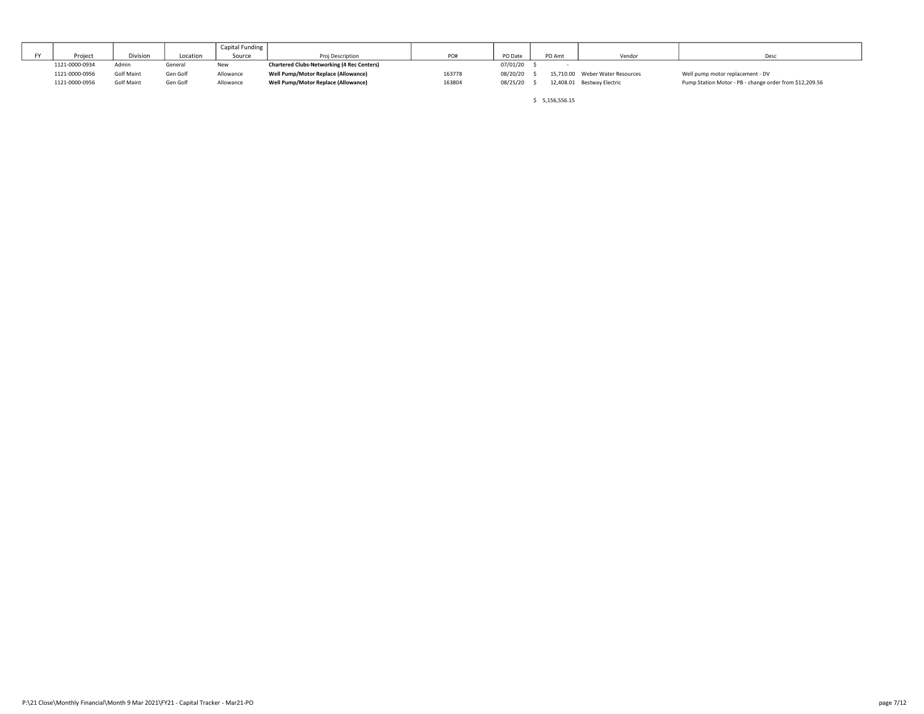|    |                |                 |          | Capital Funding |                                                   |        |          |        |                                 |                                                         |
|----|----------------|-----------------|----------|-----------------|---------------------------------------------------|--------|----------|--------|---------------------------------|---------------------------------------------------------|
| EV | Project        | <b>Division</b> | Location | Source          | Proi Description                                  | PO#    | PO Date  | PO Amt | Vendor                          | Deso                                                    |
|    | 1121-0000-0934 | Admir           | General  | New             | <b>Chartered Clubs-Networking (4 Rec Centers)</b> |        | 07/01/20 |        |                                 |                                                         |
|    | 1121-0000-0956 | Golf Maint      | Gen Golf | Allowance       | Well Pump/Motor Replace (Allowance)               | 163778 | 08/20/20 |        | 15,710.00 Weber Water Resources | Well pump motor replacement - DV                        |
|    | 1121-0000-0956 | Golf Maint      | Gen Golf | Allowance       | Well Pump/Motor Replace (Allowance)               | 163804 | 08/25/20 |        | 12,408.01 Bestway Electric      | Pump Station Motor - PB - change order from \$12,209.56 |

\$ 5,156,556.15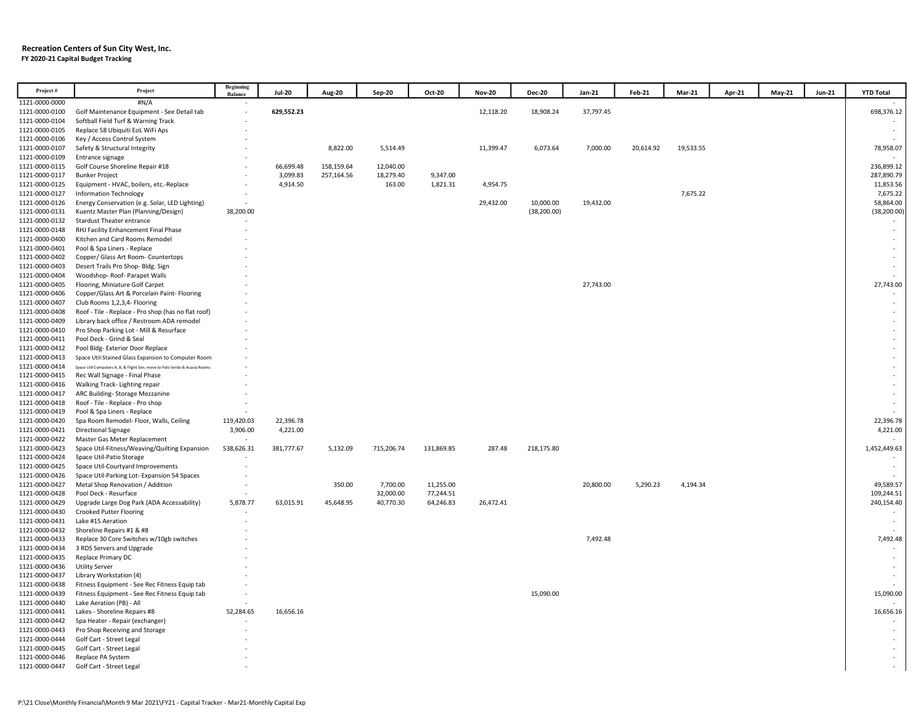#### Recreation Centers of Sun City West, Inc. FY 2020-21 Capital Budget Tracking

| Project#                         | Project                                                                    | Beginning<br>Balance | <b>Jul-20</b> | Aug-20     | Sep-20     | Oct-20     | <b>Nov-20</b> | <b>Dec-20</b> | Jan-21    | Feb-21    | <b>Mar-21</b> | Apr-21 | May-21 | <b>Jun-21</b> | <b>YTD Total</b> |
|----------------------------------|----------------------------------------------------------------------------|----------------------|---------------|------------|------------|------------|---------------|---------------|-----------|-----------|---------------|--------|--------|---------------|------------------|
| 1121-0000-0000                   | #N/A                                                                       |                      |               |            |            |            |               |               |           |           |               |        |        |               |                  |
| 1121-0000-0100                   | Golf Maintenance Equipment - See Detail tab                                |                      | 629,552.23    |            |            |            | 12,118.20     | 18,908.24     | 37,797.45 |           |               |        |        |               | 698,376.12       |
| 1121-0000-0104                   | Softball Field Turf & Warning Track                                        |                      |               |            |            |            |               |               |           |           |               |        |        |               |                  |
| 1121-0000-0105                   | Replace 58 Ubiquiti EoL WiFi Aps                                           |                      |               |            |            |            |               |               |           |           |               |        |        |               |                  |
| 1121-0000-0106                   | Key / Access Control System                                                |                      |               |            |            |            |               |               |           |           |               |        |        |               |                  |
| 1121-0000-0107                   | Safety & Structural Integrity                                              |                      |               | 8,822.00   | 5,514.49   |            | 11,399.47     | 6,073.64      | 7,000.00  | 20,614.92 | 19,533.55     |        |        |               | 78,958.07        |
| 1121-0000-0109                   | Entrance signage                                                           |                      |               |            |            |            |               |               |           |           |               |        |        |               |                  |
| 1121-0000-0115                   | Golf Course Shoreline Repair #18                                           |                      | 66,699.48     | 158,159.64 | 12,040.00  |            |               |               |           |           |               |        |        |               | 236,899.12       |
| 1121-0000-0117                   | <b>Bunker Project</b>                                                      |                      | 3,099.83      | 257,164.56 | 18,279.40  | 9,347.00   |               |               |           |           |               |        |        |               | 287,890.79       |
| 1121-0000-0125                   | Equipment - HVAC, boilers, etc.-Replace                                    |                      | 4,914.50      |            | 163.00     | 1,821.31   | 4,954.75      |               |           |           |               |        |        |               | 11,853.56        |
| 1121-0000-0127                   | <b>Information Technology</b>                                              |                      |               |            |            |            |               |               |           |           | 7,675.22      |        |        |               | 7,675.22         |
| 1121-0000-0126                   | Energy Conservation (e.g. Solar, LED Lighting)                             | $\sim$               |               |            |            |            | 29,432.00     | 10,000.00     | 19,432.00 |           |               |        |        |               | 58,864.00        |
| 1121-0000-0131                   | Kuentz Master Plan (Planning/Design)                                       | 38,200.00            |               |            |            |            |               | (38, 200.00)  |           |           |               |        |        |               | (38, 200.00)     |
| 1121-0000-0132                   | <b>Stardust Theater entrance</b>                                           |                      |               |            |            |            |               |               |           |           |               |        |        |               |                  |
| 1121-0000-0148                   | RHJ Facility Enhancement Final Phase<br>Kitchen and Card Rooms Remodel     |                      |               |            |            |            |               |               |           |           |               |        |        |               | $\sim$           |
| 1121-0000-0400<br>1121-0000-0401 | Pool & Spa Liners - Replace                                                |                      |               |            |            |            |               |               |           |           |               |        |        |               |                  |
| 1121-0000-0402                   | Copper/ Glass Art Room- Countertops                                        |                      |               |            |            |            |               |               |           |           |               |        |        |               | $\sim$           |
| 1121-0000-0403                   | Desert Trails Pro Shop- Bldg. Sign                                         |                      |               |            |            |            |               |               |           |           |               |        |        |               |                  |
| 1121-0000-0404                   | Woodshop-Roof-Parapet Walls                                                |                      |               |            |            |            |               |               |           |           |               |        |        |               |                  |
| 1121-0000-0405                   | Flooring, Miniature Golf Carpet                                            |                      |               |            |            |            |               |               | 27,743.00 |           |               |        |        |               | 27,743.00        |
| 1121-0000-0406                   | Copper/Glass Art & Porcelain Paint- Flooring                               |                      |               |            |            |            |               |               |           |           |               |        |        |               |                  |
| 1121-0000-0407                   | Club Rooms 1,2,3,4- Flooring                                               |                      |               |            |            |            |               |               |           |           |               |        |        |               | $\sim$           |
| 1121-0000-0408                   | Roof - Tile - Replace - Pro shop (has no flat roof)                        |                      |               |            |            |            |               |               |           |           |               |        |        |               | $\sim$           |
| 1121-0000-0409                   | Library back office / Restroom ADA remodel                                 |                      |               |            |            |            |               |               |           |           |               |        |        |               |                  |
| 1121-0000-0410                   | Pro Shop Parking Lot - Mill & Resurface                                    |                      |               |            |            |            |               |               |           |           |               |        |        |               |                  |
| 1121-0000-0411                   | Pool Deck - Grind & Seal                                                   |                      |               |            |            |            |               |               |           |           |               |        |        |               |                  |
| 1121-0000-0412                   | Pool Bldg- Exterior Door Replace                                           |                      |               |            |            |            |               |               |           |           |               |        |        |               |                  |
| 1121-0000-0413                   | Space Util-Stained Glass Expansion to Computer Room                        |                      |               |            |            |            |               |               |           |           |               |        |        |               |                  |
| 1121-0000-0414                   | Space Util-Computers A, B, & Flight Sim; move to Palo Verde & Acacia Rooms |                      |               |            |            |            |               |               |           |           |               |        |        |               |                  |
| 1121-0000-0415                   | Rec Wall Signage - Final Phase                                             |                      |               |            |            |            |               |               |           |           |               |        |        |               |                  |
| 1121-0000-0416                   | Walking Track- Lighting repair                                             |                      |               |            |            |            |               |               |           |           |               |        |        |               |                  |
| 1121-0000-0417                   | ARC Building-Storage Mezzanine                                             |                      |               |            |            |            |               |               |           |           |               |        |        |               |                  |
| 1121-0000-0418                   | Roof - Tile - Replace - Pro shop                                           |                      |               |            |            |            |               |               |           |           |               |        |        |               |                  |
| 1121-0000-0419<br>1121-0000-0420 | Pool & Spa Liners - Replace<br>Spa Room Remodel- Floor, Walls, Ceiling     | 119,420.03           | 22,396.78     |            |            |            |               |               |           |           |               |        |        |               | 22,396.78        |
| 1121-0000-0421                   | <b>Directional Signage</b>                                                 | 3,906.00             | 4,221.00      |            |            |            |               |               |           |           |               |        |        |               | 4,221.00         |
| 1121-0000-0422                   | Master Gas Meter Replacement                                               |                      |               |            |            |            |               |               |           |           |               |        |        |               |                  |
| 1121-0000-0423                   | Space Util-Fitness/Weaving/Quilting Expansion                              | 538,626.31           | 381,777.67    | 5,132.09   | 715,206.74 | 131,869.85 | 287.48        | 218,175.80    |           |           |               |        |        |               | 1,452,449.63     |
| 1121-0000-0424                   | Space Util-Patio Storage                                                   |                      |               |            |            |            |               |               |           |           |               |        |        |               |                  |
| 1121-0000-0425                   | Space Util-Courtyard Improvements                                          |                      |               |            |            |            |               |               |           |           |               |        |        |               |                  |
| 1121-0000-0426                   | Space Util-Parking Lot- Expansion 54 Spaces                                |                      |               |            |            |            |               |               |           |           |               |        |        |               |                  |
| 1121-0000-0427                   | Metal Shop Renovation / Addition                                           |                      |               | 350.00     | 7,700.00   | 11,255.00  |               |               | 20,800.00 | 5,290.23  | 4,194.34      |        |        |               | 49,589.57        |
| 1121-0000-0428                   | Pool Deck - Resurface                                                      |                      |               |            | 32,000.00  | 77,244.51  |               |               |           |           |               |        |        |               | 109,244.51       |
| 1121-0000-0429                   | Upgrade Large Dog Park (ADA Accessability)                                 | 5,878.77             | 63,015.91     | 45,648.95  | 40,770.30  | 64,246.83  | 26,472.41     |               |           |           |               |        |        |               | 240,154.40       |
| 1121-0000-0430                   | <b>Crooked Putter Flooring</b>                                             |                      |               |            |            |            |               |               |           |           |               |        |        |               |                  |
| 1121-0000-0431                   | Lake #15 Aeration                                                          |                      |               |            |            |            |               |               |           |           |               |        |        |               |                  |
| 1121-0000-0432                   | Shoreline Repairs #1 & #8                                                  |                      |               |            |            |            |               |               |           |           |               |        |        |               |                  |
| 1121-0000-0433                   | Replace 30 Core Switches w/10gb switches                                   |                      |               |            |            |            |               |               | 7,492.48  |           |               |        |        |               | 7,492.48         |
| 1121-0000-0434                   | 3 RDS Servers and Upgrade                                                  |                      |               |            |            |            |               |               |           |           |               |        |        |               |                  |
| 1121-0000-0435                   | Replace Primary DC                                                         |                      |               |            |            |            |               |               |           |           |               |        |        |               | $\sim$           |
| 1121-0000-0436<br>1121-0000-0437 | <b>Utility Server</b><br>Library Workstation (4)                           |                      |               |            |            |            |               |               |           |           |               |        |        |               |                  |
| 1121-0000-0438                   | Fitness Equipment - See Rec Fitness Equip tab                              |                      |               |            |            |            |               |               |           |           |               |        |        |               |                  |
| 1121-0000-0439                   | Fitness Equipment - See Rec Fitness Equip tab                              |                      |               |            |            |            |               | 15,090.00     |           |           |               |        |        |               | 15,090.00        |
| 1121-0000-0440                   | Lake Aeration (PB) - All                                                   |                      |               |            |            |            |               |               |           |           |               |        |        |               |                  |
| 1121-0000-0441                   | Lakes - Shoreline Repairs #8                                               | 52,284.65            | 16,656.16     |            |            |            |               |               |           |           |               |        |        |               | 16,656.16        |
| 1121-0000-0442                   | Spa Heater - Repair (exchanger)                                            |                      |               |            |            |            |               |               |           |           |               |        |        |               |                  |
| 1121-0000-0443                   | Pro Shop Receiving and Storage                                             |                      |               |            |            |            |               |               |           |           |               |        |        |               |                  |
| 1121-0000-0444                   | Golf Cart - Street Legal                                                   |                      |               |            |            |            |               |               |           |           |               |        |        |               | $\sim$           |
| 1121-0000-0445                   | Golf Cart - Street Legal                                                   |                      |               |            |            |            |               |               |           |           |               |        |        |               |                  |
| 1121-0000-0446                   | Replace PA System                                                          |                      |               |            |            |            |               |               |           |           |               |        |        |               |                  |
| 1121-0000-0447                   | Golf Cart - Street Legal                                                   |                      |               |            |            |            |               |               |           |           |               |        |        |               | $\sim$           |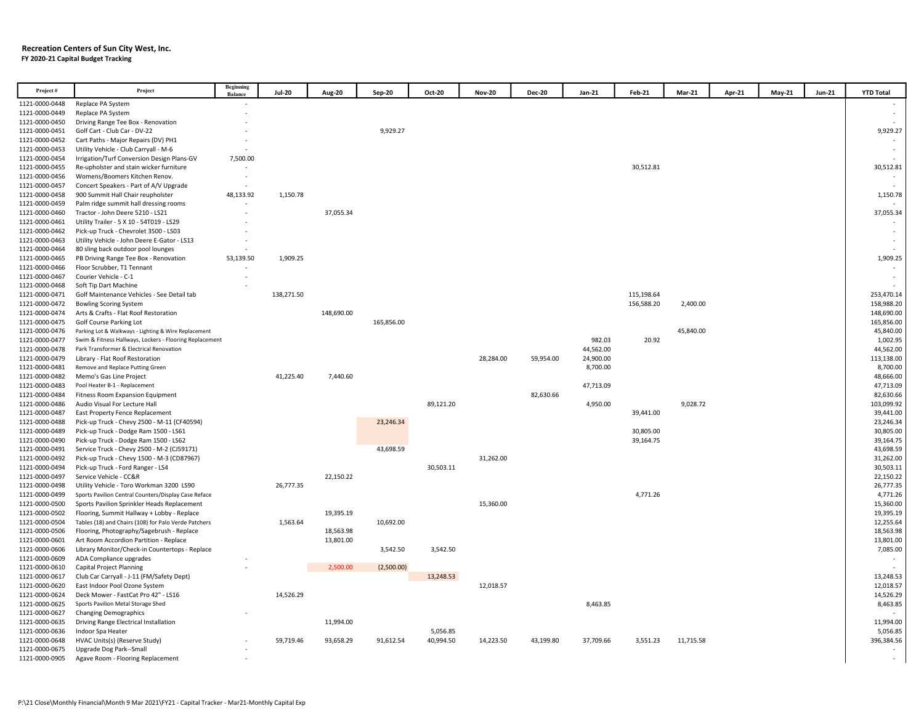#### Recreation Centers of Sun City West, Inc. FY 2020-21 Capital Budget Tracking

| Project#       | Project                                                 | <b>Beginning</b><br><b>Balance</b> | <b>Jul-20</b> | <b>Aug-20</b> | Sep-20     | Oct-20    | <b>Nov-20</b> | <b>Dec-20</b> | Jan-21    | Feb-21     | Mar-21    | Apr-21 | <b>May-21</b> | <b>Jun-21</b> | <b>YTD Total</b> |
|----------------|---------------------------------------------------------|------------------------------------|---------------|---------------|------------|-----------|---------------|---------------|-----------|------------|-----------|--------|---------------|---------------|------------------|
| 1121-0000-0448 | Replace PA System                                       |                                    |               |               |            |           |               |               |           |            |           |        |               |               |                  |
| 1121-0000-0449 | Replace PA System                                       |                                    |               |               |            |           |               |               |           |            |           |        |               |               |                  |
| 1121-0000-0450 | Driving Range Tee Box - Renovation                      |                                    |               |               |            |           |               |               |           |            |           |        |               |               |                  |
| 1121-0000-0451 | Golf Cart - Club Car - DV-22                            |                                    |               |               | 9,929.27   |           |               |               |           |            |           |        |               |               | 9,929.27         |
| 1121-0000-0452 | Cart Paths - Major Repairs (DV) PH1                     |                                    |               |               |            |           |               |               |           |            |           |        |               |               |                  |
| 1121-0000-0453 | Utility Vehicle - Club Carryall - M-6                   |                                    |               |               |            |           |               |               |           |            |           |        |               |               |                  |
| 1121-0000-0454 | Irrigation/Turf Conversion Design Plans-GV              | 7,500.00                           |               |               |            |           |               |               |           |            |           |        |               |               |                  |
| 1121-0000-0455 | Re-upholster and stain wicker furniture                 |                                    |               |               |            |           |               |               |           | 30,512.81  |           |        |               |               | 30,512.81        |
| 1121-0000-0456 | Womens/Boomers Kitchen Renov.                           |                                    |               |               |            |           |               |               |           |            |           |        |               |               |                  |
| 1121-0000-0457 | Concert Speakers - Part of A/V Upgrade                  | $\sim$                             |               |               |            |           |               |               |           |            |           |        |               |               |                  |
| 1121-0000-0458 | 900 Summit Hall Chair reupholster                       | 48,133.92                          | 1,150.78      |               |            |           |               |               |           |            |           |        |               |               | 1,150.78         |
| 1121-0000-0459 | Palm ridge summit hall dressing rooms                   |                                    |               |               |            |           |               |               |           |            |           |        |               |               |                  |
| 1121-0000-0460 | Tractor - John Deere 5210 - LS21                        |                                    |               | 37,055.34     |            |           |               |               |           |            |           |        |               |               | 37,055.34        |
| 1121-0000-0461 | Utility Trailer - 5 X 10 - 54T019 - LS29                |                                    |               |               |            |           |               |               |           |            |           |        |               |               |                  |
| 1121-0000-0462 | Pick-up Truck - Chevrolet 3500 - LS03                   |                                    |               |               |            |           |               |               |           |            |           |        |               |               |                  |
| 1121-0000-0463 | Utility Vehicle - John Deere E-Gator - LS13             |                                    |               |               |            |           |               |               |           |            |           |        |               |               |                  |
| 1121-0000-0464 | 80 sling back outdoor pool lounges                      |                                    |               |               |            |           |               |               |           |            |           |        |               |               |                  |
| 1121-0000-0465 | PB Driving Range Tee Box - Renovation                   | 53,139.50                          | 1,909.25      |               |            |           |               |               |           |            |           |        |               |               | 1,909.25         |
| 1121-0000-0466 | Floor Scrubber, T1 Tennant                              | $\overline{\phantom{a}}$           |               |               |            |           |               |               |           |            |           |        |               |               |                  |
| 1121-0000-0467 | Courier Vehicle - C-1                                   |                                    |               |               |            |           |               |               |           |            |           |        |               |               |                  |
| 1121-0000-0468 | Soft Tip Dart Machine                                   |                                    |               |               |            |           |               |               |           |            |           |        |               |               |                  |
| 1121-0000-0471 | Golf Maintenance Vehicles - See Detail tab              |                                    | 138,271.50    |               |            |           |               |               |           | 115,198.64 |           |        |               |               | 253,470.14       |
| 1121-0000-0472 | <b>Bowling Scoring System</b>                           |                                    |               |               |            |           |               |               |           | 156,588.20 | 2,400.00  |        |               |               | 158,988.20       |
| 1121-0000-0474 | Arts & Crafts - Flat Roof Restoration                   |                                    |               | 148,690.00    |            |           |               |               |           |            |           |        |               |               | 148,690.00       |
| 1121-0000-0475 | <b>Golf Course Parking Lot</b>                          |                                    |               |               | 165,856.00 |           |               |               |           |            |           |        |               |               | 165,856.00       |
| 1121-0000-0476 | Parking Lot & Walkways - Lighting & Wire Replacement    |                                    |               |               |            |           |               |               |           |            | 45,840.00 |        |               |               | 45,840.00        |
| 1121-0000-0477 | Swim & Fitness Hallways, Lockers - Flooring Replacement |                                    |               |               |            |           |               |               | 982.03    | 20.92      |           |        |               |               | 1,002.95         |
| 1121-0000-0478 | Park Transformer & Electrical Renovation                |                                    |               |               |            |           |               |               | 44,562.00 |            |           |        |               |               | 44,562.00        |
| 1121-0000-0479 | Library - Flat Roof Restoration                         |                                    |               |               |            |           | 28,284.00     | 59,954.00     | 24,900.00 |            |           |        |               |               | 113,138.00       |
| 1121-0000-0481 | Remove and Replace Putting Green                        |                                    |               |               |            |           |               |               | 8,700.00  |            |           |        |               |               | 8,700.00         |
| 1121-0000-0482 | Memo's Gas Line Project                                 |                                    | 41,225.40     | 7,440.60      |            |           |               |               |           |            |           |        |               |               | 48,666.00        |
| 1121-0000-0483 | Pool Heater B-1 - Replacement                           |                                    |               |               |            |           |               |               | 47,713.09 |            |           |        |               |               | 47,713.09        |
| 1121-0000-0484 | Fitness Room Expansion Equipment                        |                                    |               |               |            |           |               | 82,630.66     |           |            |           |        |               |               | 82,630.66        |
| 1121-0000-0486 | Audio Visual For Lecture Hall                           |                                    |               |               |            | 89,121.20 |               |               | 4,950.00  |            | 9,028.72  |        |               |               | 103,099.92       |
| 1121-0000-0487 | East Property Fence Replacement                         |                                    |               |               |            |           |               |               |           | 39,441.00  |           |        |               |               | 39,441.00        |
| 1121-0000-0488 | Pick-up Truck - Chevy 2500 - M-11 (CF40594)             |                                    |               |               | 23,246.34  |           |               |               |           |            |           |        |               |               | 23,246.34        |
| 1121-0000-0489 | Pick-up Truck - Dodge Ram 1500 - LS61                   |                                    |               |               |            |           |               |               |           | 30,805.00  |           |        |               |               | 30,805.00        |
| 1121-0000-0490 | Pick-up Truck - Dodge Ram 1500 - LS62                   |                                    |               |               |            |           |               |               |           | 39,164.75  |           |        |               |               | 39,164.75        |
| 1121-0000-0491 | Service Truck - Chevy 2500 - M-2 (CJ59171)              |                                    |               |               | 43,698.59  |           |               |               |           |            |           |        |               |               | 43,698.59        |
| 1121-0000-0492 | Pick-up Truck - Chevy 1500 - M-3 (CD87967)              |                                    |               |               |            |           | 31,262.00     |               |           |            |           |        |               |               | 31,262.00        |
| 1121-0000-0494 | Pick-up Truck - Ford Ranger - LS4                       |                                    |               |               |            | 30,503.11 |               |               |           |            |           |        |               |               | 30,503.11        |
| 1121-0000-0497 | Service Vehicle - CC&R                                  |                                    |               | 22.150.22     |            |           |               |               |           |            |           |        |               |               | 22,150.22        |
| 1121-0000-0498 | Utility Vehicle - Toro Workman 3200 LS90                |                                    | 26,777.35     |               |            |           |               |               |           |            |           |        |               |               | 26,777.35        |
| 1121-0000-0499 | Sports Pavilion Central Counters/Display Case Reface    |                                    |               |               |            |           |               |               |           | 4,771.26   |           |        |               |               | 4,771.26         |
| 1121-0000-0500 | Sports Pavilion Sprinkler Heads Replacement             |                                    |               |               |            |           | 15.360.00     |               |           |            |           |        |               |               | 15,360.00        |
| 1121-0000-0502 | Flooring, Summit Hallway + Lobby - Replace              |                                    |               | 19,395.19     |            |           |               |               |           |            |           |        |               |               | 19,395.19        |
| 1121-0000-0504 | Tables (18) and Chairs (108) for Palo Verde Patchers    |                                    | 1,563.64      |               | 10,692.00  |           |               |               |           |            |           |        |               |               | 12,255.64        |
| 1121-0000-0506 | Flooring, Photography/Sagebrush - Replace               |                                    |               | 18,563.98     |            |           |               |               |           |            |           |        |               |               | 18,563.98        |
| 1121-0000-0601 | Art Room Accordion Partition - Replace                  |                                    |               | 13,801.00     |            |           |               |               |           |            |           |        |               |               | 13,801.00        |
| 1121-0000-0606 | Library Monitor/Check-in Countertops - Replace          |                                    |               |               | 3,542.50   | 3,542.50  |               |               |           |            |           |        |               |               | 7,085.00         |
| 1121-0000-0609 | ADA Compliance upgrades                                 |                                    |               |               |            |           |               |               |           |            |           |        |               |               |                  |
| 1121-0000-0610 | <b>Capital Project Planning</b>                         |                                    |               | 2,500.00      | (2,500.00) |           |               |               |           |            |           |        |               |               |                  |
| 1121-0000-0617 | Club Car Carryall - J-11 (FM/Safety Dept)               |                                    |               |               |            | 13,248.53 |               |               |           |            |           |        |               |               | 13,248.53        |
| 1121-0000-0620 | East Indoor Pool Ozone System                           |                                    |               |               |            |           | 12,018.57     |               |           |            |           |        |               |               | 12,018.57        |
| 1121-0000-0624 | Deck Mower - FastCat Pro 42" - LS16                     |                                    | 14,526.29     |               |            |           |               |               |           |            |           |        |               |               | 14,526.29        |
| 1121-0000-0625 | Sports Pavilion Metal Storage Shed                      |                                    |               |               |            |           |               |               | 8,463.85  |            |           |        |               |               | 8,463.85         |
| 1121-0000-0627 | <b>Changing Demographics</b>                            |                                    |               |               |            |           |               |               |           |            |           |        |               |               |                  |
| 1121-0000-0635 | Driving Range Electrical Installation                   |                                    |               | 11,994.00     |            |           |               |               |           |            |           |        |               |               | 11,994.00        |
| 1121-0000-0636 | Indoor Spa Heater                                       |                                    |               |               |            | 5,056.85  |               |               |           |            |           |        |               |               | 5,056.85         |
| 1121-0000-0648 | HVAC Units(s) (Reserve Study)                           |                                    | 59,719.46     | 93,658.29     | 91,612.54  | 40,994.50 | 14,223.50     | 43,199.80     | 37,709.66 | 3,551.23   | 11,715.58 |        |               |               | 396,384.56       |
| 1121-0000-0675 | Upgrade Dog Park--Small                                 |                                    |               |               |            |           |               |               |           |            |           |        |               |               |                  |
| 1121-0000-0905 | Agave Room - Flooring Replacement                       |                                    |               |               |            |           |               |               |           |            |           |        |               |               |                  |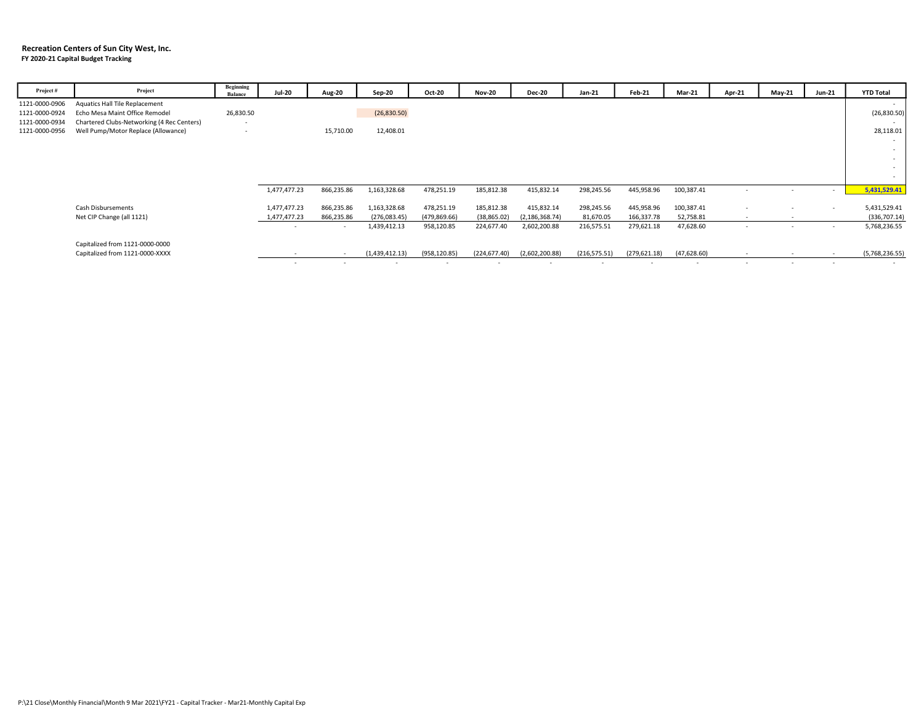#### Recreation Centers of Sun City West, Inc. FY 2020-21 Capital Budget Tracking

| Project#       | Project                                    | Beginning<br><b>Balance</b> | <b>Jul-20</b> | Aug-20     | Sep-20         | Oct-20        | <b>Nov-20</b> | <b>Dec-20</b>            | Jan-21        | Feb-21        | Mar-21      | Apr-21                   | May-21                   | <b>Jun-21</b> | <b>YTD Total</b> |
|----------------|--------------------------------------------|-----------------------------|---------------|------------|----------------|---------------|---------------|--------------------------|---------------|---------------|-------------|--------------------------|--------------------------|---------------|------------------|
| 1121-0000-0906 | <b>Aquatics Hall Tile Replacement</b>      |                             |               |            |                |               |               |                          |               |               |             |                          |                          |               |                  |
| 1121-0000-0924 | Echo Mesa Maint Office Remodel             | 26,830.50                   |               |            | (26,830.50)    |               |               |                          |               |               |             |                          |                          |               | (26,830.50)      |
| 1121-0000-0934 | Chartered Clubs-Networking (4 Rec Centers) | $\sim$                      |               |            |                |               |               |                          |               |               |             |                          |                          |               |                  |
| 1121-0000-0956 | Well Pump/Motor Replace (Allowance)        | $\overline{\phantom{a}}$    |               | 15,710.00  | 12,408.01      |               |               |                          |               |               |             |                          |                          |               | 28,118.01        |
|                |                                            |                             |               |            |                |               |               |                          |               |               |             |                          |                          |               |                  |
|                |                                            |                             |               |            |                |               |               |                          |               |               |             |                          |                          |               | $\sim$           |
|                |                                            |                             |               |            |                |               |               |                          |               |               |             |                          |                          |               | $\sim$           |
|                |                                            |                             |               |            |                |               |               |                          |               |               |             |                          |                          |               | $\sim$           |
|                |                                            |                             |               |            |                |               |               |                          |               |               |             |                          |                          |               |                  |
|                |                                            |                             | 1,477,477.23  | 866,235.86 | 1,163,328.68   | 478,251.19    | 185,812.38    | 415,832.14               | 298,245.56    | 445,958.96    | 100,387.41  | $\overline{\phantom{a}}$ |                          | <b>м.</b>     | 5,431,529.41     |
|                |                                            |                             |               |            |                |               |               |                          |               |               |             |                          |                          |               |                  |
|                | Cash Disbursements                         |                             | 1,477,477.23  | 866,235.86 | 1,163,328.68   | 478,251.19    | 185,812.38    | 415,832.14               | 298,245.56    | 445,958.96    | 100,387.41  | $\overline{\phantom{a}}$ |                          |               | 5,431,529.41     |
|                | Net CIP Change (all 1121)                  |                             | 1,477,477.23  | 866,235.86 | (276,083.45)   | (479, 869.66) | (38, 865.02)  | (2, 186, 368.74)         | 81,670.05     | 166,337.78    | 52,758.81   | $\sim$                   | $\overline{\phantom{a}}$ |               | (336,707.14)     |
|                |                                            |                             |               | $\sim$     | 1,439,412.13   | 958,120.85    | 224,677.40    | 2,602,200.88             | 216,575.51    | 279,621.18    | 47,628.60   | $\sim$                   | $\sim$                   | $\sim$        | 5,768,236.55     |
|                |                                            |                             |               |            |                |               |               |                          |               |               |             |                          |                          |               |                  |
|                | Capitalized from 1121-0000-0000            |                             |               |            |                |               |               |                          |               |               |             |                          |                          |               |                  |
|                | Capitalized from 1121-0000-XXXX            |                             |               |            | (1,439,412.13) | (958, 120.85) | (224, 677.40) | (2,602,200.88)           | (216, 575.51) | (279, 621.18) | (47,628.60) | $\sim$                   | $\overline{\phantom{a}}$ |               | (5,768,236.55)   |
|                |                                            |                             |               |            |                | $\sim$        |               | $\overline{\phantom{a}}$ |               |               |             | $\overline{\phantom{a}}$ |                          |               |                  |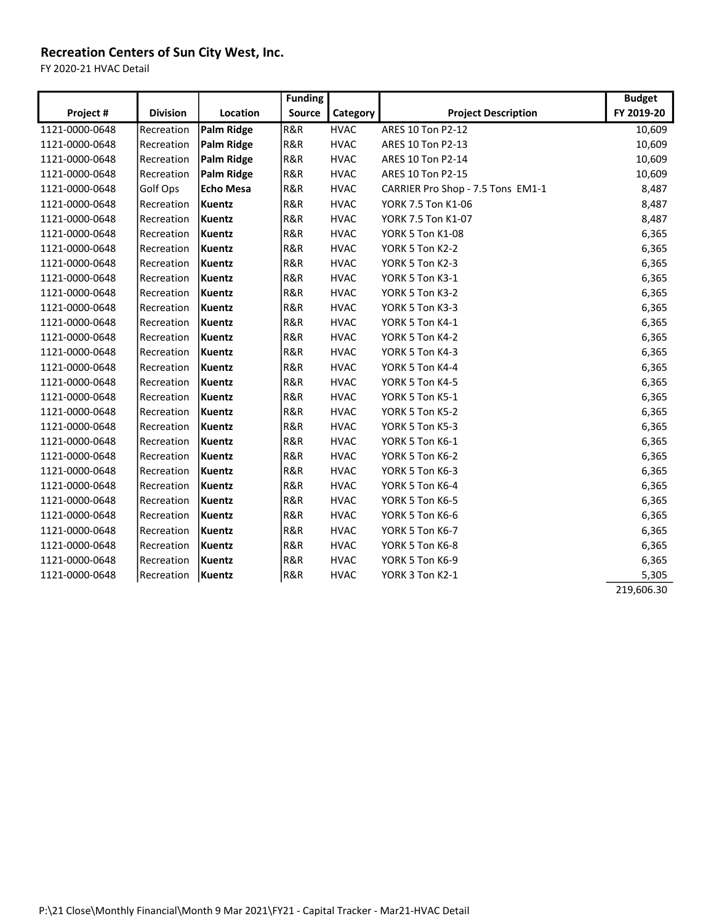FY 2020-21 HVAC Detail

|                |                 |                  | <b>Funding</b> |             |                                   | <b>Budget</b> |
|----------------|-----------------|------------------|----------------|-------------|-----------------------------------|---------------|
| Project #      | <b>Division</b> | Location         | <b>Source</b>  | Category    | <b>Project Description</b>        | FY 2019-20    |
| 1121-0000-0648 | Recreation      | Palm Ridge       | R&R            | <b>HVAC</b> | ARES 10 Ton P2-12                 | 10,609        |
| 1121-0000-0648 | Recreation      | Palm Ridge       | R&R            | <b>HVAC</b> | ARES 10 Ton P2-13                 | 10,609        |
| 1121-0000-0648 | Recreation      | Palm Ridge       | R&R            | <b>HVAC</b> | ARES 10 Ton P2-14                 | 10,609        |
| 1121-0000-0648 | Recreation      | Palm Ridge       | R&R            | <b>HVAC</b> | ARES 10 Ton P2-15                 | 10,609        |
| 1121-0000-0648 | Golf Ops        | <b>Echo Mesa</b> | R&R            | <b>HVAC</b> | CARRIER Pro Shop - 7.5 Tons EM1-1 | 8,487         |
| 1121-0000-0648 | Recreation      | Kuentz           | R&R            | <b>HVAC</b> | YORK 7.5 Ton K1-06                | 8,487         |
| 1121-0000-0648 | Recreation      | Kuentz           | R&R            | <b>HVAC</b> | YORK 7.5 Ton K1-07                | 8,487         |
| 1121-0000-0648 | Recreation      | Kuentz           | R&R            | <b>HVAC</b> | YORK 5 Ton K1-08                  | 6,365         |
| 1121-0000-0648 | Recreation      | Kuentz           | R&R            | <b>HVAC</b> | YORK 5 Ton K2-2                   | 6,365         |
| 1121-0000-0648 | Recreation      | Kuentz           | R&R            | <b>HVAC</b> | YORK 5 Ton K2-3                   | 6,365         |
| 1121-0000-0648 | Recreation      | Kuentz           | R&R            | <b>HVAC</b> | YORK 5 Ton K3-1                   | 6,365         |
| 1121-0000-0648 | Recreation      | Kuentz           | R&R            | <b>HVAC</b> | YORK 5 Ton K3-2                   | 6,365         |
| 1121-0000-0648 | Recreation      | Kuentz           | R&R            | <b>HVAC</b> | YORK 5 Ton K3-3                   | 6,365         |
| 1121-0000-0648 | Recreation      | Kuentz           | R&R            | <b>HVAC</b> | YORK 5 Ton K4-1                   | 6,365         |
| 1121-0000-0648 | Recreation      | Kuentz           | R&R            | <b>HVAC</b> | YORK 5 Ton K4-2                   | 6,365         |
| 1121-0000-0648 | Recreation      | Kuentz           | R&R            | <b>HVAC</b> | YORK 5 Ton K4-3                   | 6,365         |
| 1121-0000-0648 | Recreation      | Kuentz           | R&R            | <b>HVAC</b> | YORK 5 Ton K4-4                   | 6,365         |
| 1121-0000-0648 | Recreation      | Kuentz           | R&R            | <b>HVAC</b> | YORK 5 Ton K4-5                   | 6,365         |
| 1121-0000-0648 | Recreation      | Kuentz           | R&R            | <b>HVAC</b> | YORK 5 Ton K5-1                   | 6,365         |
| 1121-0000-0648 | Recreation      | Kuentz           | R&R            | <b>HVAC</b> | YORK 5 Ton K5-2                   | 6,365         |
| 1121-0000-0648 | Recreation      | Kuentz           | R&R            | <b>HVAC</b> | YORK 5 Ton K5-3                   | 6,365         |
| 1121-0000-0648 | Recreation      | Kuentz           | R&R            | <b>HVAC</b> | YORK 5 Ton K6-1                   | 6,365         |
| 1121-0000-0648 | Recreation      | Kuentz           | R&R            | <b>HVAC</b> | YORK 5 Ton K6-2                   | 6,365         |
| 1121-0000-0648 | Recreation      | Kuentz           | R&R            | <b>HVAC</b> | YORK 5 Ton K6-3                   | 6,365         |
| 1121-0000-0648 | Recreation      | Kuentz           | R&R            | <b>HVAC</b> | YORK 5 Ton K6-4                   | 6,365         |
| 1121-0000-0648 | Recreation      | Kuentz           | R&R            | <b>HVAC</b> | YORK 5 Ton K6-5                   | 6,365         |
| 1121-0000-0648 | Recreation      | Kuentz           | R&R            | <b>HVAC</b> | YORK 5 Ton K6-6                   | 6,365         |
| 1121-0000-0648 | Recreation      | Kuentz           | R&R            | <b>HVAC</b> | YORK 5 Ton K6-7                   | 6,365         |
| 1121-0000-0648 | Recreation      | Kuentz           | R&R            | <b>HVAC</b> | YORK 5 Ton K6-8                   | 6,365         |
| 1121-0000-0648 | Recreation      | Kuentz           | R&R            | <b>HVAC</b> | YORK 5 Ton K6-9                   | 6,365         |
| 1121-0000-0648 | Recreation      | Kuentz           | R&R            | <b>HVAC</b> | YORK 3 Ton K2-1                   | 5,305         |
|                |                 |                  |                |             |                                   | 219,606.30    |